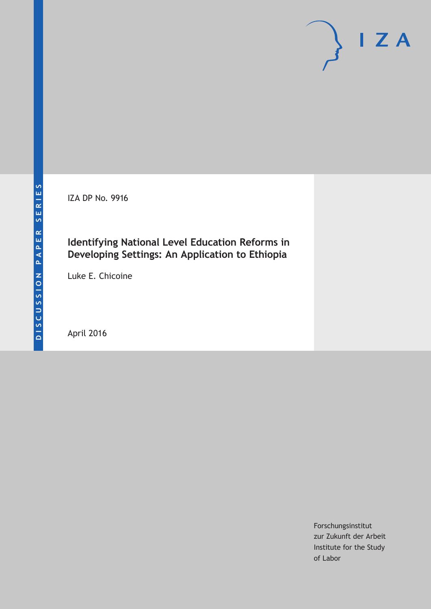IZA DP No. 9916

# **Identifying National Level Education Reforms in Developing Settings: An Application to Ethiopia**

Luke E. Chicoine

April 2016

Forschungsinstitut zur Zukunft der Arbeit Institute for the Study of Labor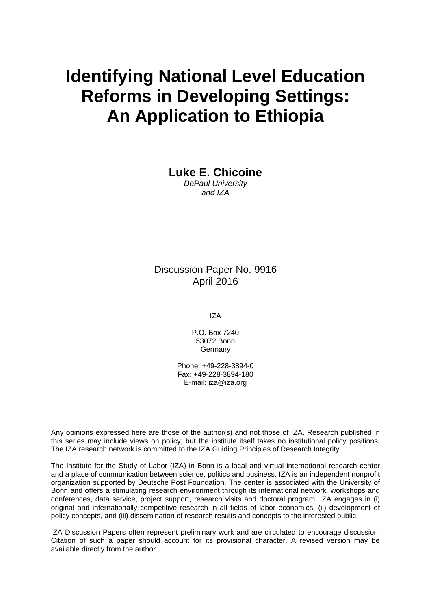# **Identifying National Level Education Reforms in Developing Settings: An Application to Ethiopia**

**Luke E. Chicoine** 

*DePaul University and IZA* 

### Discussion Paper No. 9916 April 2016

IZA

P.O. Box 7240 53072 Bonn Germany

Phone: +49-228-3894-0 Fax: +49-228-3894-180 E-mail: iza@iza.org

Any opinions expressed here are those of the author(s) and not those of IZA. Research published in this series may include views on policy, but the institute itself takes no institutional policy positions. The IZA research network is committed to the IZA Guiding Principles of Research Integrity.

The Institute for the Study of Labor (IZA) in Bonn is a local and virtual international research center and a place of communication between science, politics and business. IZA is an independent nonprofit organization supported by Deutsche Post Foundation. The center is associated with the University of Bonn and offers a stimulating research environment through its international network, workshops and conferences, data service, project support, research visits and doctoral program. IZA engages in (i) original and internationally competitive research in all fields of labor economics, (ii) development of policy concepts, and (iii) dissemination of research results and concepts to the interested public.

IZA Discussion Papers often represent preliminary work and are circulated to encourage discussion. Citation of such a paper should account for its provisional character. A revised version may be available directly from the author.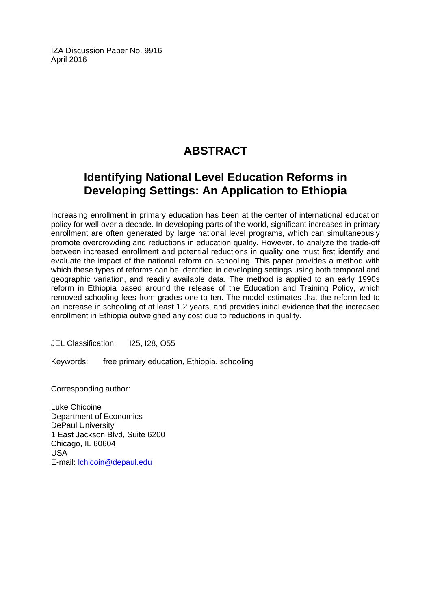IZA Discussion Paper No. 9916 April 2016

# **ABSTRACT**

# **Identifying National Level Education Reforms in Developing Settings: An Application to Ethiopia**

Increasing enrollment in primary education has been at the center of international education policy for well over a decade. In developing parts of the world, significant increases in primary enrollment are often generated by large national level programs, which can simultaneously promote overcrowding and reductions in education quality. However, to analyze the trade-off between increased enrollment and potential reductions in quality one must first identify and evaluate the impact of the national reform on schooling. This paper provides a method with which these types of reforms can be identified in developing settings using both temporal and geographic variation, and readily available data. The method is applied to an early 1990s reform in Ethiopia based around the release of the Education and Training Policy, which removed schooling fees from grades one to ten. The model estimates that the reform led to an increase in schooling of at least 1.2 years, and provides initial evidence that the increased enrollment in Ethiopia outweighed any cost due to reductions in quality.

JEL Classification: I25, I28, O55

Keywords: free primary education, Ethiopia, schooling

Corresponding author:

Luke Chicoine Department of Economics DePaul University 1 East Jackson Blvd, Suite 6200 Chicago, IL 60604 USA E-mail: lchicoin@depaul.edu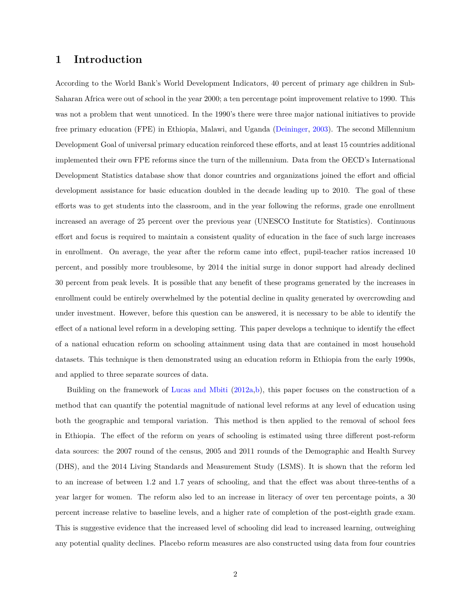#### **1 Introduction**

According to the World Bank's World Development Indicators, 40 percent of primary age children in Sub-Saharan Africa were out of school in the year 2000; a ten percentage point improvement relative to 1990. This was not a problem that went unnoticed. In the 1990's there were three major national initiatives to provide free primary education (FPE) in Ethiopia, Malawi, and Uganda [\(Deininger,](#page-19-0) [2003\)](#page-19-0). The second Millennium Development Goal of universal primary education reinforced these efforts, and at least 15 countries additional implemented their own FPE reforms since the turn of the millennium. Data from the OECD's International Development Statistics database show that donor countries and organizations joined the effort and official development assistance for basic education doubled in the decade leading up to 2010. The goal of these efforts was to get students into the classroom, and in the year following the reforms, grade one enrollment increased an average of 25 percent over the previous year (UNESCO Institute for Statistics). Continuous effort and focus is required to maintain a consistent quality of education in the face of such large increases in enrollment. On average, the year after the reform came into effect, pupil-teacher ratios increased 10 percent, and possibly more troublesome, by 2014 the initial surge in donor support had already declined 30 percent from peak levels. It is possible that any benefit of these programs generated by the increases in enrollment could be entirely overwhelmed by the potential decline in quality generated by overcrowding and under investment. However, before this question can be answered, it is necessary to be able to identify the effect of a national level reform in a developing setting. This paper develops a technique to identify the effect of a national education reform on schooling attainment using data that are contained in most household datasets. This technique is then demonstrated using an education reform in Ethiopia from the early 1990s, and applied to three separate sources of data.

Building on the framework of [Lucas and Mbiti](#page-19-1) [\(2012a,](#page-19-1)[b\)](#page-19-2), this paper focuses on the construction of a method that can quantify the potential magnitude of national level reforms at any level of education using both the geographic and temporal variation. This method is then applied to the removal of school fees in Ethiopia. The effect of the reform on years of schooling is estimated using three different post-reform data sources: the 2007 round of the census, 2005 and 2011 rounds of the Demographic and Health Survey (DHS), and the 2014 Living Standards and Measurement Study (LSMS). It is shown that the reform led to an increase of between 1.2 and 1.7 years of schooling, and that the effect was about three-tenths of a year larger for women. The reform also led to an increase in literacy of over ten percentage points, a 30 percent increase relative to baseline levels, and a higher rate of completion of the post-eighth grade exam. This is suggestive evidence that the increased level of schooling did lead to increased learning, outweighing any potential quality declines. Placebo reform measures are also constructed using data from four countries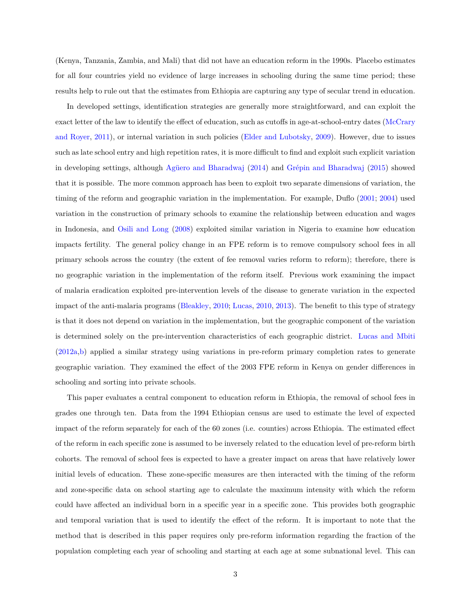(Kenya, Tanzania, Zambia, and Mali) that did not have an education reform in the 1990s. Placebo estimates for all four countries yield no evidence of large increases in schooling during the same time period; these results help to rule out that the estimates from Ethiopia are capturing any type of secular trend in education.

In developed settings, identification strategies are generally more straightforward, and can exploit the exact letter of the law to identify the effect of education, such as cutoffs in age-at-school-entry dates [\(McCrary](#page-20-0) [and Royer,](#page-20-0) [2011\)](#page-20-0), or internal variation in such policies [\(Elder and Lubotsky,](#page-19-3) [2009\)](#page-19-3). However, due to issues such as late school entry and high repetition rates, it is more difficult to find and exploit such explicit variation in developing settings, although [Agüero and Bharadwaj](#page-19-4) [\(2014\)](#page-19-4) and [Grépin and Bharadwaj](#page-19-5) [\(2015\)](#page-19-5) showed that it is possible. The more common approach has been to exploit two separate dimensions of variation, the timing of the reform and geographic variation in the implementation. For example, Duflo [\(2001;](#page-19-6) [2004\)](#page-19-7) used variation in the construction of primary schools to examine the relationship between education and wages in Indonesia, and [Osili and Long](#page-20-1) [\(2008\)](#page-20-1) exploited similar variation in Nigeria to examine how education impacts fertility. The general policy change in an FPE reform is to remove compulsory school fees in all primary schools across the country (the extent of fee removal varies reform to reform); therefore, there is no geographic variation in the implementation of the reform itself. Previous work examining the impact of malaria eradication exploited pre-intervention levels of the disease to generate variation in the expected impact of the anti-malaria programs [\(Bleakley,](#page-19-8) [2010;](#page-19-8) [Lucas,](#page-19-9) [2010,](#page-19-9) [2013\)](#page-19-10). The benefit to this type of strategy is that it does not depend on variation in the implementation, but the geographic component of the variation is determined solely on the pre-intervention characteristics of each geographic district. [Lucas and Mbiti](#page-19-1) [\(2012a,](#page-19-1)[b\)](#page-19-2) applied a similar strategy using variations in pre-reform primary completion rates to generate geographic variation. They examined the effect of the 2003 FPE reform in Kenya on gender differences in schooling and sorting into private schools.

This paper evaluates a central component to education reform in Ethiopia, the removal of school fees in grades one through ten. Data from the 1994 Ethiopian census are used to estimate the level of expected impact of the reform separately for each of the 60 zones (i.e. counties) across Ethiopia. The estimated effect of the reform in each specific zone is assumed to be inversely related to the education level of pre-reform birth cohorts. The removal of school fees is expected to have a greater impact on areas that have relatively lower initial levels of education. These zone-specific measures are then interacted with the timing of the reform and zone-specific data on school starting age to calculate the maximum intensity with which the reform could have affected an individual born in a specific year in a specific zone. This provides both geographic and temporal variation that is used to identify the effect of the reform. It is important to note that the method that is described in this paper requires only pre-reform information regarding the fraction of the population completing each year of schooling and starting at each age at some subnational level. This can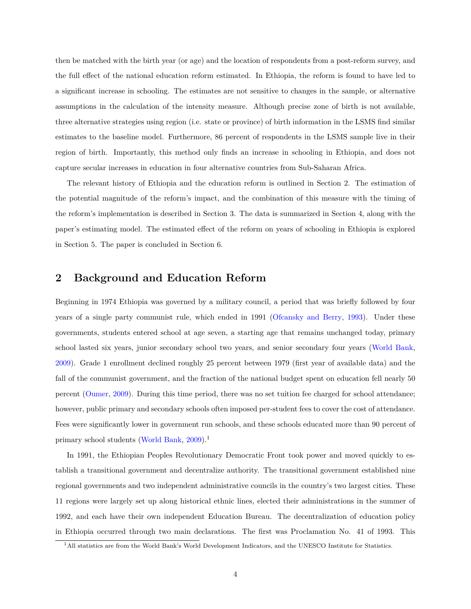then be matched with the birth year (or age) and the location of respondents from a post-reform survey, and the full effect of the national education reform estimated. In Ethiopia, the reform is found to have led to a significant increase in schooling. The estimates are not sensitive to changes in the sample, or alternative assumptions in the calculation of the intensity measure. Although precise zone of birth is not available, three alternative strategies using region (i.e. state or province) of birth information in the LSMS find similar estimates to the baseline model. Furthermore, 86 percent of respondents in the LSMS sample live in their region of birth. Importantly, this method only finds an increase in schooling in Ethiopia, and does not capture secular increases in education in four alternative countries from Sub-Saharan Africa.

The relevant history of Ethiopia and the education reform is outlined in Section 2. The estimation of the potential magnitude of the reform's impact, and the combination of this measure with the timing of the reform's implementation is described in Section 3. The data is summarized in Section 4, along with the paper's estimating model. The estimated effect of the reform on years of schooling in Ethiopia is explored in Section 5. The paper is concluded in Section 6.

#### <span id="page-5-1"></span>**2 Background and Education Reform**

Beginning in 1974 Ethiopia was governed by a military council, a period that was briefly followed by four years of a single party communist rule, which ended in 1991 [\(Ofcansky and Berry,](#page-20-2) [1993\)](#page-20-2). Under these governments, students entered school at age seven, a starting age that remains unchanged today, primary school lasted six years, junior secondary school two years, and senior secondary four years [\(World Bank,](#page-20-3) [2009\)](#page-20-3). Grade 1 enrollment declined roughly 25 percent between 1979 (first year of available data) and the fall of the communist government, and the fraction of the national budget spent on education fell nearly 50 percent [\(Oumer,](#page-20-4) [2009\)](#page-20-4). During this time period, there was no set tuition fee charged for school attendance; however, public primary and secondary schools often imposed per-student fees to cover the cost of attendance. Fees were significantly lower in government run schools, and these schools educated more than 90 percent of primary school students [\(World Bank,](#page-20-3) [2009\)](#page-20-3).<sup>[1](#page-5-0)</sup>

In 1991, the Ethiopian Peoples Revolutionary Democratic Front took power and moved quickly to establish a transitional government and decentralize authority. The transitional government established nine regional governments and two independent administrative councils in the country's two largest cities. These 11 regions were largely set up along historical ethnic lines, elected their administrations in the summer of 1992, and each have their own independent Education Bureau. The decentralization of education policy in Ethiopia occurred through two main declarations. The first was Proclamation No. 41 of 1993. This

<span id="page-5-0"></span><sup>1</sup>All statistics are from the World Bank's World Development Indicators, and the UNESCO Institute for Statistics.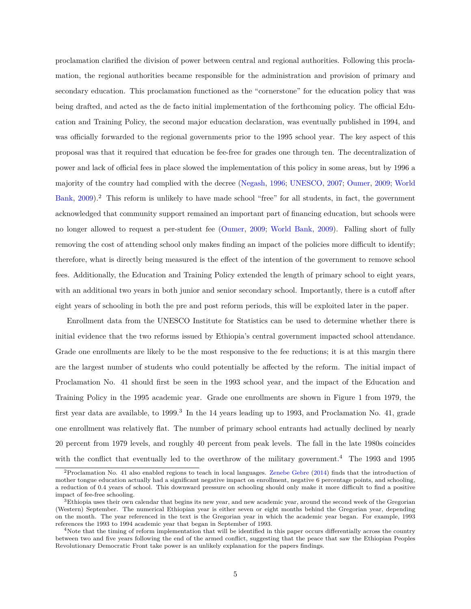proclamation clarified the division of power between central and regional authorities. Following this proclamation, the regional authorities became responsible for the administration and provision of primary and secondary education. This proclamation functioned as the "cornerstone" for the education policy that was being drafted, and acted as the de facto initial implementation of the forthcoming policy. The official Education and Training Policy, the second major education declaration, was eventually published in 1994, and was officially forwarded to the regional governments prior to the 1995 school year. The key aspect of this proposal was that it required that education be fee-free for grades one through ten. The decentralization of power and lack of official fees in place slowed the implementation of this policy in some areas, but by 1996 a majority of the country had complied with the decree [\(Negash,](#page-20-5) [1996;](#page-20-5) [UNESCO,](#page-20-6) [2007;](#page-20-6) [Oumer,](#page-20-4) [2009;](#page-20-4) [World](#page-20-3) [Bank,](#page-20-3) [2009\)](#page-20-3).<sup>[2](#page-6-0)</sup> This reform is unlikely to have made school "free" for all students, in fact, the government acknowledged that community support remained an important part of financing education, but schools were no longer allowed to request a per-student fee [\(Oumer,](#page-20-4) [2009;](#page-20-4) [World Bank,](#page-20-3) [2009\)](#page-20-3). Falling short of fully removing the cost of attending school only makes finding an impact of the policies more difficult to identify; therefore, what is directly being measured is the effect of the intention of the government to remove school fees. Additionally, the Education and Training Policy extended the length of primary school to eight years, with an additional two years in both junior and senior secondary school. Importantly, there is a cutoff after eight years of schooling in both the pre and post reform periods, this will be exploited later in the paper.

Enrollment data from the UNESCO Institute for Statistics can be used to determine whether there is initial evidence that the two reforms issued by Ethiopia's central government impacted school attendance. Grade one enrollments are likely to be the most responsive to the fee reductions; it is at this margin there are the largest number of students who could potentially be affected by the reform. The initial impact of Proclamation No. 41 should first be seen in the 1993 school year, and the impact of the Education and Training Policy in the 1995 academic year. Grade one enrollments are shown in Figure [1](#page-21-0) from 1979, the first year data are available, to 1999.<sup>[3](#page-6-1)</sup> In the 14 years leading up to 1993, and Proclamation No. 41, grade one enrollment was relatively flat. The number of primary school entrants had actually declined by nearly 20 percent from 1979 levels, and roughly 40 percent from peak levels. The fall in the late 1980s coincides with the conflict that eventually led to the overthrow of the military government.<sup>[4](#page-6-2)</sup> The 1993 and 1995

<span id="page-6-0"></span><sup>2</sup>Proclamation No. 41 also enabled regions to teach in local languages. [Zenebe Gebre](#page-20-7) [\(2014\)](#page-20-7) finds that the introduction of mother tongue education actually had a significant negative impact on enrollment, negative 6 percentage points, and schooling, a reduction of 0.4 years of school. This downward pressure on schooling should only make it more difficult to find a positive impact of fee-free schooling.

<span id="page-6-1"></span> ${}^{3}$ Ethiopia uses their own calendar that begins its new year, and new academic year, around the second week of the Gregorian (Western) September. The numerical Ethiopian year is either seven or eight months behind the Gregorian year, depending on the month. The year referenced in the text is the Gregorian year in which the academic year began. For example, 1993 references the 1993 to 1994 academic year that began in September of 1993.

<span id="page-6-2"></span><sup>&</sup>lt;sup>4</sup>Note that the timing of reform implementation that will be identified in this paper occurs differentially across the country between two and five years following the end of the armed conflict, suggesting that the peace that saw the Ethiopian Peoples Revolutionary Democratic Front take power is an unlikely explanation for the papers findings.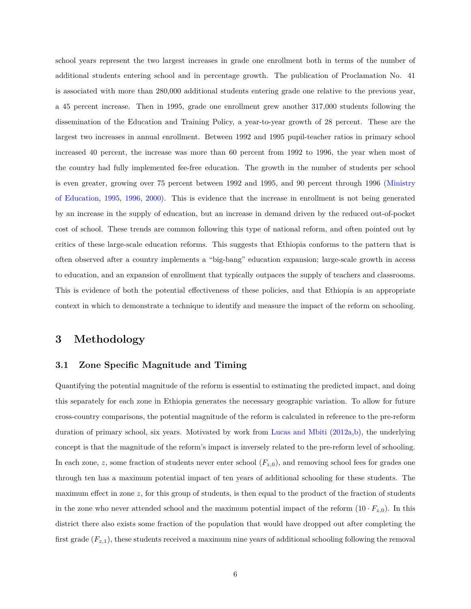school years represent the two largest increases in grade one enrollment both in terms of the number of additional students entering school and in percentage growth. The publication of Proclamation No. 41 is associated with more than 280,000 additional students entering grade one relative to the previous year, a 45 percent increase. Then in 1995, grade one enrollment grew another 317,000 students following the dissemination of the Education and Training Policy, a year-to-year growth of 28 percent. These are the largest two increases in annual enrollment. Between 1992 and 1995 pupil-teacher ratios in primary school increased 40 percent, the increase was more than 60 percent from 1992 to 1996, the year when most of the country had fully implemented fee-free education. The growth in the number of students per school is even greater, growing over 75 percent between 1992 and 1995, and 90 percent through 1996 [\(Ministry](#page-20-8) [of Education,](#page-20-8) [1995,](#page-20-8) [1996,](#page-20-9) [2000\)](#page-20-10). This is evidence that the increase in enrollment is not being generated by an increase in the supply of education, but an increase in demand driven by the reduced out-of-pocket cost of school. These trends are common following this type of national reform, and often pointed out by critics of these large-scale education reforms. This suggests that Ethiopia conforms to the pattern that is often observed after a country implements a "big-bang" education expansion; large-scale growth in access to education, and an expansion of enrollment that typically outpaces the supply of teachers and classrooms. This is evidence of both the potential effectiveness of these policies, and that Ethiopia is an appropriate context in which to demonstrate a technique to identify and measure the impact of the reform on schooling.

#### **3 Methodology**

#### **3.1 Zone Specific Magnitude and Timing**

Quantifying the potential magnitude of the reform is essential to estimating the predicted impact, and doing this separately for each zone in Ethiopia generates the necessary geographic variation. To allow for future cross-country comparisons, the potential magnitude of the reform is calculated in reference to the pre-reform duration of primary school, six years. Motivated by work from [Lucas and Mbiti](#page-19-1) [\(2012a,](#page-19-1)[b\)](#page-19-2), the underlying concept is that the magnitude of the reform's impact is inversely related to the pre-reform level of schooling. In each zone, *z*, some fraction of students never enter school  $(F_{z,0})$ , and removing school fees for grades one through ten has a maximum potential impact of ten years of additional schooling for these students. The maximum effect in zone *z*, for this group of students, is then equal to the product of the fraction of students in the zone who never attended school and the maximum potential impact of the reform  $(10 \cdot F_{z,0})$ . In this district there also exists some fraction of the population that would have dropped out after completing the first grade (*Fz,*1), these students received a maximum nine years of additional schooling following the removal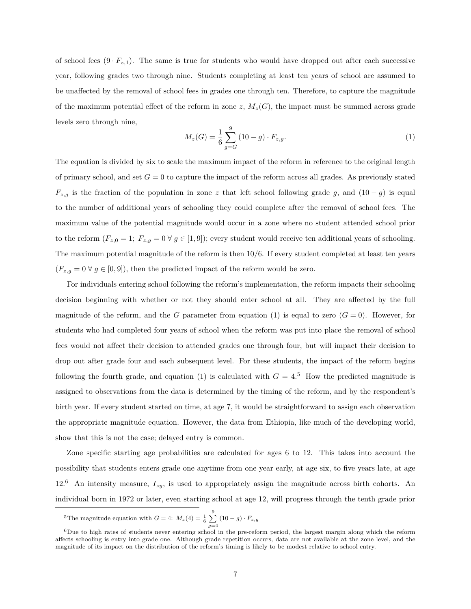of school fees  $(9 \cdot F_{z,1})$ . The same is true for students who would have dropped out after each successive year, following grades two through nine. Students completing at least ten years of school are assumed to be unaffected by the removal of school fees in grades one through ten. Therefore, to capture the magnitude of the maximum potential effect of the reform in zone  $z$ ,  $M_z(G)$ , the impact must be summed across grade levels zero through nine,

<span id="page-8-0"></span>
$$
M_z(G) = \frac{1}{6} \sum_{g=G}^{9} (10 - g) \cdot F_{z,g}.
$$
 (1)

The equation is divided by six to scale the maximum impact of the reform in reference to the original length of primary school, and set  $G = 0$  to capture the impact of the reform across all grades. As previously stated *F*<sub>*z*,*g*</sub> is the fraction of the population in zone *z* that left school following grade *g*, and  $(10 - g)$  is equal to the number of additional years of schooling they could complete after the removal of school fees. The maximum value of the potential magnitude would occur in a zone where no student attended school prior to the reform  $(F_{z,0} = 1; F_{z,g} = 0 \ \forall \ g \in [1,9]$ ; every student would receive ten additional years of schooling. The maximum potential magnitude of the reform is then 10*/*6. If every student completed at least ten years  $(F_{z,g} = 0 \,\forall\, g \in [0,9])$ , then the predicted impact of the reform would be zero.

For individuals entering school following the reform's implementation, the reform impacts their schooling decision beginning with whether or not they should enter school at all. They are affected by the full magnitude of the reform, and the *G* parameter from equation [\(1\)](#page-8-0) is equal to zero  $(G = 0)$ . However, for students who had completed four years of school when the reform was put into place the removal of school fees would not affect their decision to attended grades one through four, but will impact their decision to drop out after grade four and each subsequent level. For these students, the impact of the reform begins following the fourth grade, and equation [\(1\)](#page-8-0) is calculated with  $G = 4.5$  $G = 4.5$  How the predicted magnitude is assigned to observations from the data is determined by the timing of the reform, and by the respondent's birth year. If every student started on time, at age 7, it would be straightforward to assign each observation the appropriate magnitude equation. However, the data from Ethiopia, like much of the developing world, show that this is not the case; delayed entry is common.

Zone specific starting age probabilities are calculated for ages 6 to 12. This takes into account the possibility that students enters grade one anytime from one year early, at age six, to five years late, at age  $12<sup>6</sup>$  $12<sup>6</sup>$  $12<sup>6</sup>$  An intensity measure,  $I_{zy}$ , is used to appropriately assign the magnitude across birth cohorts. An individual born in 1972 or later, even starting school at age 12, will progress through the tenth grade prior

<span id="page-8-1"></span><sup>&</sup>lt;sup>5</sup>The magnitude equation with  $G = 4$ :  $M_z(4) = \frac{1}{6} \sum_{g=4}^{9} (10 - g) \cdot F_{z,g}$ 

<span id="page-8-2"></span><sup>6</sup>Due to high rates of students never entering school in the pre-reform period, the largest margin along which the reform affects schooling is entry into grade one. Although grade repetition occurs, data are not available at the zone level, and the magnitude of its impact on the distribution of the reform's timing is likely to be modest relative to school entry.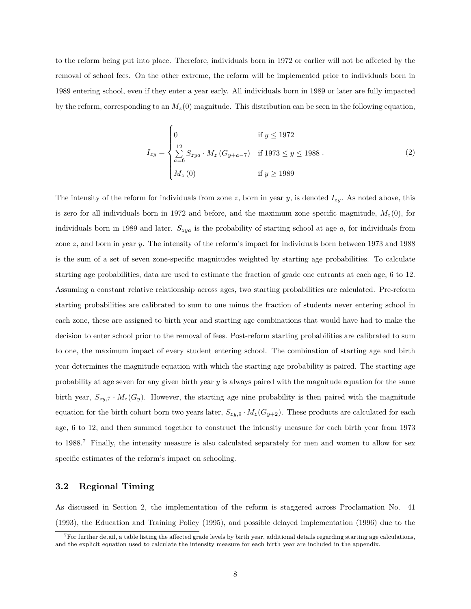to the reform being put into place. Therefore, individuals born in 1972 or earlier will not be affected by the removal of school fees. On the other extreme, the reform will be implemented prior to individuals born in 1989 entering school, even if they enter a year early. All individuals born in 1989 or later are fully impacted by the reform, corresponding to an  $M_z(0)$  magnitude. This distribution can be seen in the following equation,

<span id="page-9-1"></span>
$$
I_{zy} = \begin{cases} 0 & \text{if } y \le 1972\\ \sum_{a=6}^{12} S_{zya} \cdot M_z \left( G_{y+a-7} \right) & \text{if } 1973 \le y \le 1988\\ M_z \left( 0 \right) & \text{if } y \ge 1989 \end{cases}
$$
 (2)

The intensity of the reform for individuals from zone  $z$ , born in year  $y$ , is denoted  $I_{zy}$ . As noted above, this is zero for all individuals born in 1972 and before, and the maximum zone specific magnitude,  $M_z(0)$ , for individuals born in 1989 and later. *Szya* is the probability of starting school at age *a*, for individuals from zone *z*, and born in year *y*. The intensity of the reform's impact for individuals born between 1973 and 1988 is the sum of a set of seven zone-specific magnitudes weighted by starting age probabilities. To calculate starting age probabilities, data are used to estimate the fraction of grade one entrants at each age, 6 to 12. Assuming a constant relative relationship across ages, two starting probabilities are calculated. Pre-reform starting probabilities are calibrated to sum to one minus the fraction of students never entering school in each zone, these are assigned to birth year and starting age combinations that would have had to make the decision to enter school prior to the removal of fees. Post-reform starting probabilities are calibrated to sum to one, the maximum impact of every student entering school. The combination of starting age and birth year determines the magnitude equation with which the starting age probability is paired. The starting age probability at age seven for any given birth year *y* is always paired with the magnitude equation for the same birth year,  $S_{zy,7} \cdot M_z(G_y)$ . However, the starting age nine probability is then paired with the magnitude equation for the birth cohort born two years later,  $S_{zy,9} \cdot M_z(G_{y+2})$ . These products are calculated for each age, 6 to 12, and then summed together to construct the intensity measure for each birth year from 1973 to 1988.[7](#page-9-0) Finally, the intensity measure is also calculated separately for men and women to allow for sex specific estimates of the reform's impact on schooling.

#### <span id="page-9-2"></span>**3.2 Regional Timing**

As discussed in Section [2,](#page-5-1) the implementation of the reform is staggered across Proclamation No. 41 (1993), the Education and Training Policy (1995), and possible delayed implementation (1996) due to the

<span id="page-9-0"></span> $7$  For further detail, a table listing the affected grade levels by birth year, additional details regarding starting age calculations, and the explicit equation used to calculate the intensity measure for each birth year are included in the appendix.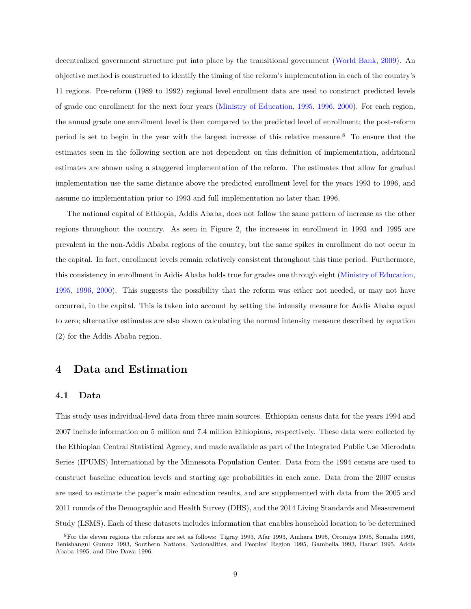decentralized government structure put into place by the transitional government [\(World Bank,](#page-20-3) [2009\)](#page-20-3). An objective method is constructed to identify the timing of the reform's implementation in each of the country's 11 regions. Pre-reform (1989 to 1992) regional level enrollment data are used to construct predicted levels of grade one enrollment for the next four years [\(Ministry of Education,](#page-20-8) [1995,](#page-20-8) [1996,](#page-20-9) [2000\)](#page-20-10). For each region, the annual grade one enrollment level is then compared to the predicted level of enrollment; the post-reform period is set to begin in the year with the largest increase of this relative measure.[8](#page-10-0) To ensure that the estimates seen in the following section are not dependent on this definition of implementation, additional estimates are shown using a staggered implementation of the reform. The estimates that allow for gradual implementation use the same distance above the predicted enrollment level for the years 1993 to 1996, and assume no implementation prior to 1993 and full implementation no later than 1996.

The national capital of Ethiopia, Addis Ababa, does not follow the same pattern of increase as the other regions throughout the country. As seen in Figure [2,](#page-21-1) the increases in enrollment in 1993 and 1995 are prevalent in the non-Addis Ababa regions of the country, but the same spikes in enrollment do not occur in the capital. In fact, enrollment levels remain relatively consistent throughout this time period. Furthermore, this consistency in enrollment in Addis Ababa holds true for grades one through eight [\(Ministry of Education,](#page-20-8) [1995,](#page-20-8) [1996,](#page-20-9) [2000\)](#page-20-10). This suggests the possibility that the reform was either not needed, or may not have occurred, in the capital. This is taken into account by setting the intensity measure for Addis Ababa equal to zero; alternative estimates are also shown calculating the normal intensity measure described by equation [\(2\)](#page-9-1) for the Addis Ababa region.

#### **4 Data and Estimation**

#### **4.1 Data**

This study uses individual-level data from three main sources. Ethiopian census data for the years 1994 and 2007 include information on 5 million and 7.4 million Ethiopians, respectively. These data were collected by the Ethiopian Central Statistical Agency, and made available as part of the Integrated Public Use Microdata Series (IPUMS) International by the Minnesota Population Center. Data from the 1994 census are used to construct baseline education levels and starting age probabilities in each zone. Data from the 2007 census are used to estimate the paper's main education results, and are supplemented with data from the 2005 and 2011 rounds of the Demographic and Health Survey (DHS), and the 2014 Living Standards and Measurement Study (LSMS). Each of these datasets includes information that enables household location to be determined

<span id="page-10-0"></span><sup>8</sup>For the eleven regions the reforms are set as follows: Tigray 1993, Afar 1993, Amhara 1995, Oromiya 1995, Somalia 1993, Benishangul Gumuz 1993, Southern Nations, Nationalities, and Peoples' Region 1995, Gambella 1993, Harari 1995, Addis Ababa 1995, and Dire Dawa 1996.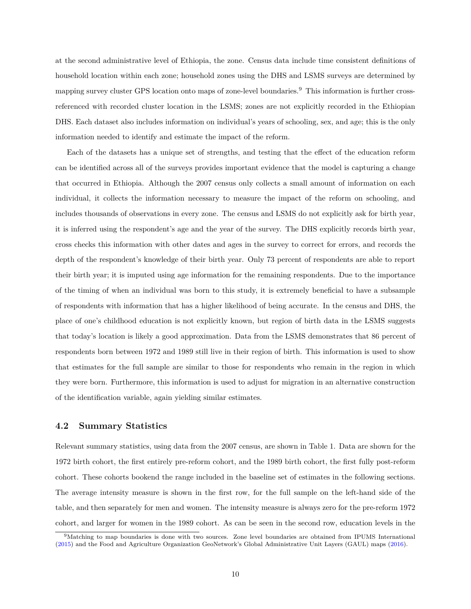at the second administrative level of Ethiopia, the zone. Census data include time consistent definitions of household location within each zone; household zones using the DHS and LSMS surveys are determined by mapping survey cluster GPS location onto maps of zone-level boundaries.[9](#page-11-0) This information is further crossreferenced with recorded cluster location in the LSMS; zones are not explicitly recorded in the Ethiopian DHS. Each dataset also includes information on individual's years of schooling, sex, and age; this is the only information needed to identify and estimate the impact of the reform.

Each of the datasets has a unique set of strengths, and testing that the effect of the education reform can be identified across all of the surveys provides important evidence that the model is capturing a change that occurred in Ethiopia. Although the 2007 census only collects a small amount of information on each individual, it collects the information necessary to measure the impact of the reform on schooling, and includes thousands of observations in every zone. The census and LSMS do not explicitly ask for birth year, it is inferred using the respondent's age and the year of the survey. The DHS explicitly records birth year, cross checks this information with other dates and ages in the survey to correct for errors, and records the depth of the respondent's knowledge of their birth year. Only 73 percent of respondents are able to report their birth year; it is imputed using age information for the remaining respondents. Due to the importance of the timing of when an individual was born to this study, it is extremely beneficial to have a subsample of respondents with information that has a higher likelihood of being accurate. In the census and DHS, the place of one's childhood education is not explicitly known, but region of birth data in the LSMS suggests that today's location is likely a good approximation. Data from the LSMS demonstrates that 86 percent of respondents born between 1972 and 1989 still live in their region of birth. This information is used to show that estimates for the full sample are similar to those for respondents who remain in the region in which they were born. Furthermore, this information is used to adjust for migration in an alternative construction of the identification variable, again yielding similar estimates.

#### **4.2 Summary Statistics**

Relevant summary statistics, using data from the 2007 census, are shown in Table [1.](#page-23-0) Data are shown for the 1972 birth cohort, the first entirely pre-reform cohort, and the 1989 birth cohort, the first fully post-reform cohort. These cohorts bookend the range included in the baseline set of estimates in the following sections. The average intensity measure is shown in the first row, for the full sample on the left-hand side of the table, and then separately for men and women. The intensity measure is always zero for the pre-reform 1972 cohort, and larger for women in the 1989 cohort. As can be seen in the second row, education levels in the

<span id="page-11-0"></span><sup>9</sup>Matching to map boundaries is done with two sources. Zone level boundaries are obtained from IPUMS International [\(2015\)](#page-20-11) and the Food and Agriculture Organization GeoNetwork's Global Administrative Unit Layers (GAUL) maps [\(2016\)](#page-19-11).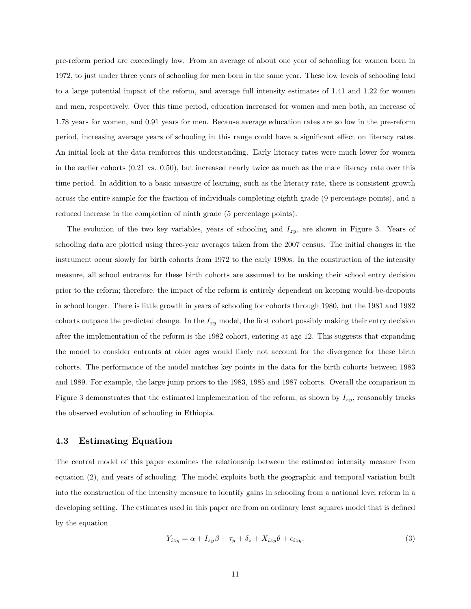pre-reform period are exceedingly low. From an average of about one year of schooling for women born in 1972, to just under three years of schooling for men born in the same year. These low levels of schooling lead to a large potential impact of the reform, and average full intensity estimates of 1.41 and 1.22 for women and men, respectively. Over this time period, education increased for women and men both, an increase of 1.78 years for women, and 0.91 years for men. Because average education rates are so low in the pre-reform period, increasing average years of schooling in this range could have a significant effect on literacy rates. An initial look at the data reinforces this understanding. Early literacy rates were much lower for women in the earlier cohorts (0.21 vs. 0.50), but increased nearly twice as much as the male literacy rate over this time period. In addition to a basic measure of learning, such as the literacy rate, there is consistent growth across the entire sample for the fraction of individuals completing eighth grade (9 percentage points), and a reduced increase in the completion of ninth grade (5 percentage points).

The evolution of the two key variables, years of schooling and *Izy*, are shown in Figure [3.](#page-22-0) Years of schooling data are plotted using three-year averages taken from the 2007 census. The initial changes in the instrument occur slowly for birth cohorts from 1972 to the early 1980s. In the construction of the intensity measure, all school entrants for these birth cohorts are assumed to be making their school entry decision prior to the reform; therefore, the impact of the reform is entirely dependent on keeping would-be-dropouts in school longer. There is little growth in years of schooling for cohorts through 1980, but the 1981 and 1982 cohorts outpace the predicted change. In the *Izy* model, the first cohort possibly making their entry decision after the implementation of the reform is the 1982 cohort, entering at age 12. This suggests that expanding the model to consider entrants at older ages would likely not account for the divergence for these birth cohorts. The performance of the model matches key points in the data for the birth cohorts between 1983 and 1989. For example, the large jump priors to the 1983, 1985 and 1987 cohorts. Overall the comparison in Figure [3](#page-22-0) demonstrates that the estimated implementation of the reform, as shown by *Izy*, reasonably tracks the observed evolution of schooling in Ethiopia.

#### **4.3 Estimating Equation**

The central model of this paper examines the relationship between the estimated intensity measure from equation [\(2\)](#page-9-1), and years of schooling. The model exploits both the geographic and temporal variation built into the construction of the intensity measure to identify gains in schooling from a national level reform in a developing setting. The estimates used in this paper are from an ordinary least squares model that is defined by the equation

<span id="page-12-0"></span>
$$
Y_{izy} = \alpha + I_{zy}\beta + \tau_y + \delta_z + X_{izy}\theta + \epsilon_{izy}.
$$
\n(3)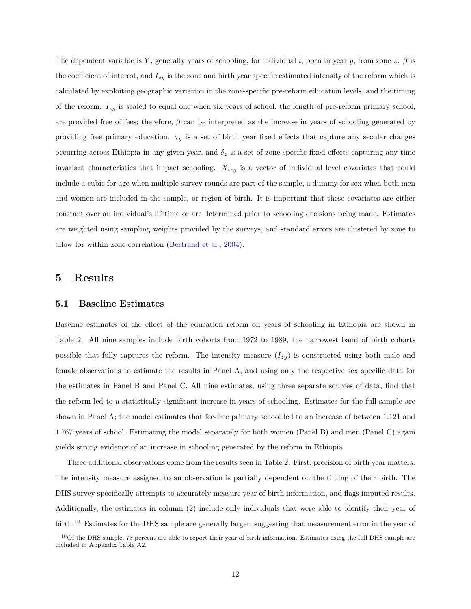The dependent variable is *Y* , generally years of schooling, for individual *i*, born in year *y*, from zone *z*. *β* is the coefficient of interest, and *Izy* is the zone and birth year specific estimated intensity of the reform which is calculated by exploiting geographic variation in the zone-specific pre-reform education levels, and the timing of the reform. *Izy* is scaled to equal one when six years of school, the length of pre-reform primary school, are provided free of fees; therefore, *β* can be interpreted as the increase in years of schooling generated by providing free primary education.  $\tau_y$  is a set of birth year fixed effects that capture any secular changes occurring across Ethiopia in any given year, and  $\delta_z$  is a set of zone-specific fixed effects capturing any time invariant characteristics that impact schooling. *Xizy* is a vector of individual level covariates that could include a cubic for age when multiple survey rounds are part of the sample, a dummy for sex when both men and women are included in the sample, or region of birth. It is important that these covariates are either constant over an individual's lifetime or are determined prior to schooling decisions being made. Estimates are weighted using sampling weights provided by the surveys, and standard errors are clustered by zone to allow for within zone correlation [\(Bertrand et al.,](#page-19-12) [2004\)](#page-19-12).

#### **5 Results**

#### **5.1 Baseline Estimates**

Baseline estimates of the effect of the education reform on years of schooling in Ethiopia are shown in Table [2.](#page-24-0) All nine samples include birth cohorts from 1972 to 1989, the narrowest band of birth cohorts possible that fully captures the reform. The intensity measure  $(I_{zy})$  is constructed using both male and female observations to estimate the results in Panel A, and using only the respective sex specific data for the estimates in Panel B and Panel C. All nine estimates, using three separate sources of data, find that the reform led to a statistically significant increase in years of schooling. Estimates for the full sample are shown in Panel A; the model estimates that fee-free primary school led to an increase of between 1.121 and 1.767 years of school. Estimating the model separately for both women (Panel B) and men (Panel C) again yields strong evidence of an increase in schooling generated by the reform in Ethiopia.

Three additional observations come from the results seen in Table [2.](#page-24-0) First, precision of birth year matters. The intensity measure assigned to an observation is partially dependent on the timing of their birth. The DHS survey specifically attempts to accurately measure year of birth information, and flags imputed results. Additionally, the estimates in column (2) include only individuals that were able to identify their year of birth.<sup>[10](#page-13-0)</sup> Estimates for the DHS sample are generally larger, suggesting that measurement error in the year of

<span id="page-13-0"></span> $10$ Of the DHS sample, 73 percent are able to report their year of birth information. Estimates using the full DHS sample are included in Appendix Table [A2.](#page-33-0)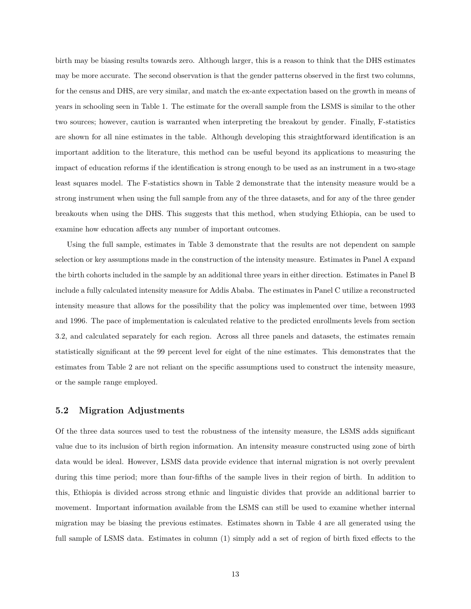birth may be biasing results towards zero. Although larger, this is a reason to think that the DHS estimates may be more accurate. The second observation is that the gender patterns observed in the first two columns, for the census and DHS, are very similar, and match the ex-ante expectation based on the growth in means of years in schooling seen in Table [1.](#page-23-0) The estimate for the overall sample from the LSMS is similar to the other two sources; however, caution is warranted when interpreting the breakout by gender. Finally, F-statistics are shown for all nine estimates in the table. Although developing this straightforward identification is an important addition to the literature, this method can be useful beyond its applications to measuring the impact of education reforms if the identification is strong enough to be used as an instrument in a two-stage least squares model. The F-statistics shown in Table [2](#page-24-0) demonstrate that the intensity measure would be a strong instrument when using the full sample from any of the three datasets, and for any of the three gender breakouts when using the DHS. This suggests that this method, when studying Ethiopia, can be used to examine how education affects any number of important outcomes.

Using the full sample, estimates in Table [3](#page-25-0) demonstrate that the results are not dependent on sample selection or key assumptions made in the construction of the intensity measure. Estimates in Panel A expand the birth cohorts included in the sample by an additional three years in either direction. Estimates in Panel B include a fully calculated intensity measure for Addis Ababa. The estimates in Panel C utilize a reconstructed intensity measure that allows for the possibility that the policy was implemented over time, between 1993 and 1996. The pace of implementation is calculated relative to the predicted enrollments levels from section [3.2,](#page-9-2) and calculated separately for each region. Across all three panels and datasets, the estimates remain statistically significant at the 99 percent level for eight of the nine estimates. This demonstrates that the estimates from Table [2](#page-24-0) are not reliant on the specific assumptions used to construct the intensity measure, or the sample range employed.

#### **5.2 Migration Adjustments**

Of the three data sources used to test the robustness of the intensity measure, the LSMS adds significant value due to its inclusion of birth region information. An intensity measure constructed using zone of birth data would be ideal. However, LSMS data provide evidence that internal migration is not overly prevalent during this time period; more than four-fifths of the sample lives in their region of birth. In addition to this, Ethiopia is divided across strong ethnic and linguistic divides that provide an additional barrier to movement. Important information available from the LSMS can still be used to examine whether internal migration may be biasing the previous estimates. Estimates shown in Table [4](#page-26-0) are all generated using the full sample of LSMS data. Estimates in column (1) simply add a set of region of birth fixed effects to the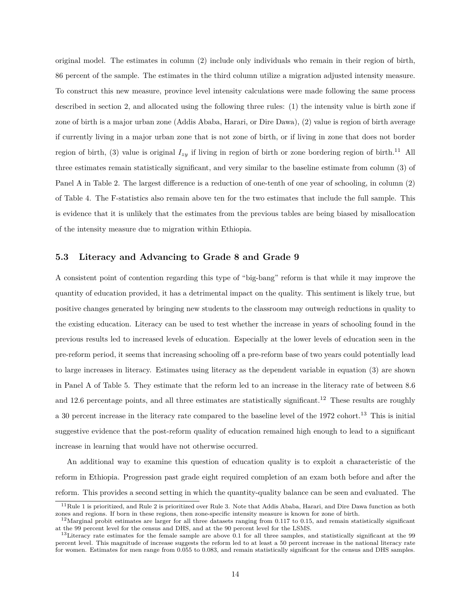original model. The estimates in column (2) include only individuals who remain in their region of birth, 86 percent of the sample. The estimates in the third column utilize a migration adjusted intensity measure. To construct this new measure, province level intensity calculations were made following the same process described in section [2,](#page-9-1) and allocated using the following three rules: (1) the intensity value is birth zone if zone of birth is a major urban zone (Addis Ababa, Harari, or Dire Dawa), (2) value is region of birth average if currently living in a major urban zone that is not zone of birth, or if living in zone that does not border region of birth, (3) value is original  $I_{zy}$  if living in region of birth or zone bordering region of birth.<sup>[11](#page-15-0)</sup> All three estimates remain statistically significant, and very similar to the baseline estimate from column (3) of Panel A in Table [2.](#page-24-0) The largest difference is a reduction of one-tenth of one year of schooling, in column (2) of Table [4.](#page-26-0) The F-statistics also remain above ten for the two estimates that include the full sample. This is evidence that it is unlikely that the estimates from the previous tables are being biased by misallocation of the intensity measure due to migration within Ethiopia.

#### **5.3 Literacy and Advancing to Grade 8 and Grade 9**

A consistent point of contention regarding this type of "big-bang" reform is that while it may improve the quantity of education provided, it has a detrimental impact on the quality. This sentiment is likely true, but positive changes generated by bringing new students to the classroom may outweigh reductions in quality to the existing education. Literacy can be used to test whether the increase in years of schooling found in the previous results led to increased levels of education. Especially at the lower levels of education seen in the pre-reform period, it seems that increasing schooling off a pre-reform base of two years could potentially lead to large increases in literacy. Estimates using literacy as the dependent variable in equation [\(3\)](#page-12-0) are shown in Panel A of Table [5.](#page-27-0) They estimate that the reform led to an increase in the literacy rate of between 8.6 and [12](#page-15-1).6 percentage points, and all three estimates are statistically significant.<sup>12</sup> These results are roughly a 30 percent increase in the literacy rate compared to the baseline level of the 1972 cohort.<sup>[13](#page-15-2)</sup> This is initial suggestive evidence that the post-reform quality of education remained high enough to lead to a significant increase in learning that would have not otherwise occurred.

An additional way to examine this question of education quality is to exploit a characteristic of the reform in Ethiopia. Progression past grade eight required completion of an exam both before and after the reform. This provides a second setting in which the quantity-quality balance can be seen and evaluated. The

<span id="page-15-0"></span> $11$ Rule 1 is prioritized, and Rule 2 is prioritized over Rule 3. Note that Addis Ababa, Harari, and Dire Dawa function as both zones and regions. If born in these regions, then zone-specific intensity measure is known for zone of birth.

<span id="page-15-1"></span> $^{12}$ Marginal probit estimates are larger for all three datasets ranging from 0.117 to 0.15, and remain statistically significant at the 99 percent level for the census and DHS, and at the 90 percent level for the LSMS.

<span id="page-15-2"></span> $13$ Literacy rate estimates for the female sample are above 0.1 for all three samples, and statistically significant at the 99 percent level. This magnitude of increase suggests the reform led to at least a 50 percent increase in the national literacy rate for women. Estimates for men range from 0.055 to 0.083, and remain statistically significant for the census and DHS samples.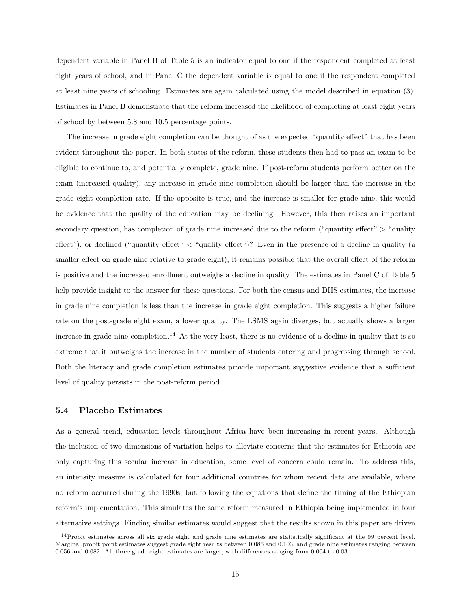dependent variable in Panel B of Table [5](#page-27-0) is an indicator equal to one if the respondent completed at least eight years of school, and in Panel C the dependent variable is equal to one if the respondent completed at least nine years of schooling. Estimates are again calculated using the model described in equation [\(3\)](#page-12-0). Estimates in Panel B demonstrate that the reform increased the likelihood of completing at least eight years of school by between 5.8 and 10.5 percentage points.

The increase in grade eight completion can be thought of as the expected "quantity effect" that has been evident throughout the paper. In both states of the reform, these students then had to pass an exam to be eligible to continue to, and potentially complete, grade nine. If post-reform students perform better on the exam (increased quality), any increase in grade nine completion should be larger than the increase in the grade eight completion rate. If the opposite is true, and the increase is smaller for grade nine, this would be evidence that the quality of the education may be declining. However, this then raises an important secondary question, has completion of grade nine increased due to the reform ("quantity effect" > "quality") effect"), or declined ("quantity effect" < "quality effect")? Even in the presence of a decline in quality (a smaller effect on grade nine relative to grade eight), it remains possible that the overall effect of the reform is positive and the increased enrollment outweighs a decline in quality. The estimates in Panel C of Table [5](#page-27-0) help provide insight to the answer for these questions. For both the census and DHS estimates, the increase in grade nine completion is less than the increase in grade eight completion. This suggests a higher failure rate on the post-grade eight exam, a lower quality. The LSMS again diverges, but actually shows a larger increase in grade nine completion.<sup>[14](#page-16-0)</sup> At the very least, there is no evidence of a decline in quality that is so extreme that it outweighs the increase in the number of students entering and progressing through school. Both the literacy and grade completion estimates provide important suggestive evidence that a sufficient level of quality persists in the post-reform period.

#### **5.4 Placebo Estimates**

As a general trend, education levels throughout Africa have been increasing in recent years. Although the inclusion of two dimensions of variation helps to alleviate concerns that the estimates for Ethiopia are only capturing this secular increase in education, some level of concern could remain. To address this, an intensity measure is calculated for four additional countries for whom recent data are available, where no reform occurred during the 1990s, but following the equations that define the timing of the Ethiopian reform's implementation. This simulates the same reform measured in Ethiopia being implemented in four alternative settings. Finding similar estimates would suggest that the results shown in this paper are driven

<span id="page-16-0"></span><sup>&</sup>lt;sup>14</sup>Probit estimates across all six grade eight and grade nine estimates are statistically significant at the 99 percent level. Marginal probit point estimates suggest grade eight results between 0.086 and 0.103, and grade nine estimates ranging between 0.056 and 0.082. All three grade eight estimates are larger, with differences ranging from 0.004 to 0.03.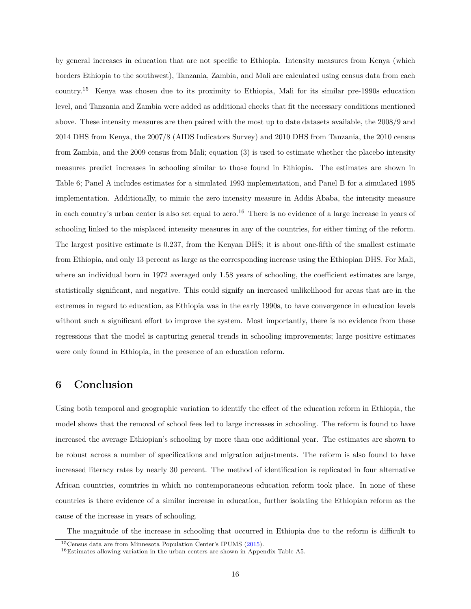by general increases in education that are not specific to Ethiopia. Intensity measures from Kenya (which borders Ethiopia to the southwest), Tanzania, Zambia, and Mali are calculated using census data from each country.[15](#page-17-0) Kenya was chosen due to its proximity to Ethiopia, Mali for its similar pre-1990s education level, and Tanzania and Zambia were added as additional checks that fit the necessary conditions mentioned above. These intensity measures are then paired with the most up to date datasets available, the 2008/9 and 2014 DHS from Kenya, the 2007/8 (AIDS Indicators Survey) and 2010 DHS from Tanzania, the 2010 census from Zambia, and the 2009 census from Mali; equation [\(3\)](#page-12-0) is used to estimate whether the placebo intensity measures predict increases in schooling similar to those found in Ethiopia. The estimates are shown in Table [6;](#page-28-0) Panel A includes estimates for a simulated 1993 implementation, and Panel B for a simulated 1995 implementation. Additionally, to mimic the zero intensity measure in Addis Ababa, the intensity measure in each country's urban center is also set equal to zero.<sup>[16](#page-17-1)</sup> There is no evidence of a large increase in years of schooling linked to the misplaced intensity measures in any of the countries, for either timing of the reform. The largest positive estimate is 0.237, from the Kenyan DHS; it is about one-fifth of the smallest estimate from Ethiopia, and only 13 percent as large as the corresponding increase using the Ethiopian DHS. For Mali, where an individual born in 1972 averaged only 1.58 years of schooling, the coefficient estimates are large, statistically significant, and negative. This could signify an increased unlikelihood for areas that are in the extremes in regard to education, as Ethiopia was in the early 1990s, to have convergence in education levels without such a significant effort to improve the system. Most importantly, there is no evidence from these regressions that the model is capturing general trends in schooling improvements; large positive estimates were only found in Ethiopia, in the presence of an education reform.

#### **6 Conclusion**

Using both temporal and geographic variation to identify the effect of the education reform in Ethiopia, the model shows that the removal of school fees led to large increases in schooling. The reform is found to have increased the average Ethiopian's schooling by more than one additional year. The estimates are shown to be robust across a number of specifications and migration adjustments. The reform is also found to have increased literacy rates by nearly 30 percent. The method of identification is replicated in four alternative African countries, countries in which no contemporaneous education reform took place. In none of these countries is there evidence of a similar increase in education, further isolating the Ethiopian reform as the cause of the increase in years of schooling.

The magnitude of the increase in schooling that occurred in Ethiopia due to the reform is difficult to

<span id="page-17-0"></span><sup>15</sup>Census data are from Minnesota Population Center's IPUMS [\(2015\)](#page-20-11).

<span id="page-17-1"></span><sup>16</sup>Estimates allowing variation in the urban centers are shown in Appendix Table [A5.](#page-35-0)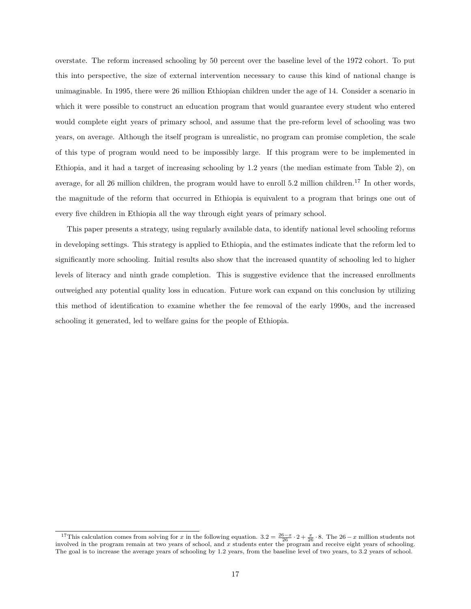overstate. The reform increased schooling by 50 percent over the baseline level of the 1972 cohort. To put this into perspective, the size of external intervention necessary to cause this kind of national change is unimaginable. In 1995, there were 26 million Ethiopian children under the age of 14. Consider a scenario in which it were possible to construct an education program that would guarantee every student who entered would complete eight years of primary school, and assume that the pre-reform level of schooling was two years, on average. Although the itself program is unrealistic, no program can promise completion, the scale of this type of program would need to be impossibly large. If this program were to be implemented in Ethiopia, and it had a target of increasing schooling by 1.2 years (the median estimate from Table [2\)](#page-24-0), on average, for all 26 million children, the program would have to enroll 5.2 million children.<sup>[17](#page-18-0)</sup> In other words, the magnitude of the reform that occurred in Ethiopia is equivalent to a program that brings one out of every five children in Ethiopia all the way through eight years of primary school.

This paper presents a strategy, using regularly available data, to identify national level schooling reforms in developing settings. This strategy is applied to Ethiopia, and the estimates indicate that the reform led to significantly more schooling. Initial results also show that the increased quantity of schooling led to higher levels of literacy and ninth grade completion. This is suggestive evidence that the increased enrollments outweighed any potential quality loss in education. Future work can expand on this conclusion by utilizing this method of identification to examine whether the fee removal of the early 1990s, and the increased schooling it generated, led to welfare gains for the people of Ethiopia.

<span id="page-18-0"></span><sup>&</sup>lt;sup>17</sup>This calculation comes from solving for x in the following equation.  $3.2 = \frac{26-x}{26} \cdot 2 + \frac{x}{26} \cdot 8$ . The  $26-x$  million students not involved in the program remain at two years of school, and x students enter the pro The goal is to increase the average years of schooling by 1.2 years, from the baseline level of two years, to 3.2 years of school.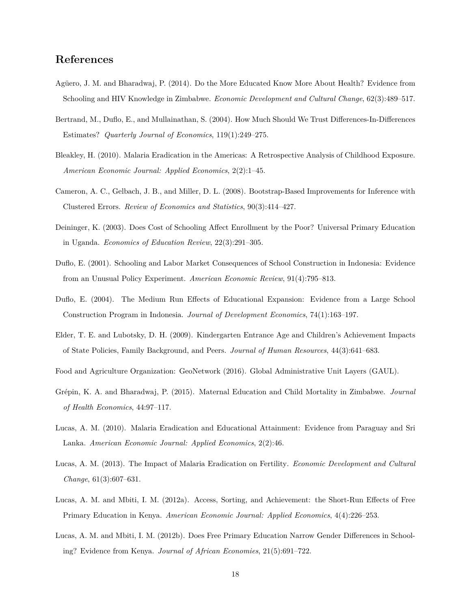#### **References**

- <span id="page-19-4"></span>Agüero, J. M. and Bharadwaj, P. (2014). Do the More Educated Know More About Health? Evidence from Schooling and HIV Knowledge in Zimbabwe. *Economic Development and Cultural Change*, 62(3):489–517.
- <span id="page-19-12"></span>Bertrand, M., Duflo, E., and Mullainathan, S. (2004). How Much Should We Trust Differences-In-Differences Estimates? *Quarterly Journal of Economics*, 119(1):249–275.
- <span id="page-19-8"></span>Bleakley, H. (2010). Malaria Eradication in the Americas: A Retrospective Analysis of Childhood Exposure. *American Economic Journal: Applied Economics*, 2(2):1–45.
- <span id="page-19-13"></span>Cameron, A. C., Gelbach, J. B., and Miller, D. L. (2008). Bootstrap-Based Improvements for Inference with Clustered Errors. *Review of Economics and Statistics*, 90(3):414–427.
- <span id="page-19-0"></span>Deininger, K. (2003). Does Cost of Schooling Affect Enrollment by the Poor? Universal Primary Education in Uganda. *Economics of Education Review*, 22(3):291–305.
- <span id="page-19-6"></span>Duflo, E. (2001). Schooling and Labor Market Consequences of School Construction in Indonesia: Evidence from an Unusual Policy Experiment. *American Economic Review*, 91(4):795–813.
- <span id="page-19-7"></span>Duflo, E. (2004). The Medium Run Effects of Educational Expansion: Evidence from a Large School Construction Program in Indonesia. *Journal of Development Economics*, 74(1):163–197.
- <span id="page-19-3"></span>Elder, T. E. and Lubotsky, D. H. (2009). Kindergarten Entrance Age and Children's Achievement Impacts of State Policies, Family Background, and Peers. *Journal of Human Resources*, 44(3):641–683.
- <span id="page-19-11"></span>Food and Agriculture Organization: GeoNetwork (2016). Global Administrative Unit Layers (GAUL).
- <span id="page-19-5"></span>Grépin, K. A. and Bharadwaj, P. (2015). Maternal Education and Child Mortality in Zimbabwe. *Journal of Health Economics*, 44:97–117.
- <span id="page-19-9"></span>Lucas, A. M. (2010). Malaria Eradication and Educational Attainment: Evidence from Paraguay and Sri Lanka. *American Economic Journal: Applied Economics*, 2(2):46.
- <span id="page-19-10"></span>Lucas, A. M. (2013). The Impact of Malaria Eradication on Fertility. *Economic Development and Cultural Change*, 61(3):607–631.
- <span id="page-19-1"></span>Lucas, A. M. and Mbiti, I. M. (2012a). Access, Sorting, and Achievement: the Short-Run Effects of Free Primary Education in Kenya. *American Economic Journal: Applied Economics*, 4(4):226–253.
- <span id="page-19-2"></span>Lucas, A. M. and Mbiti, I. M. (2012b). Does Free Primary Education Narrow Gender Differences in Schooling? Evidence from Kenya. *Journal of African Economies*, 21(5):691–722.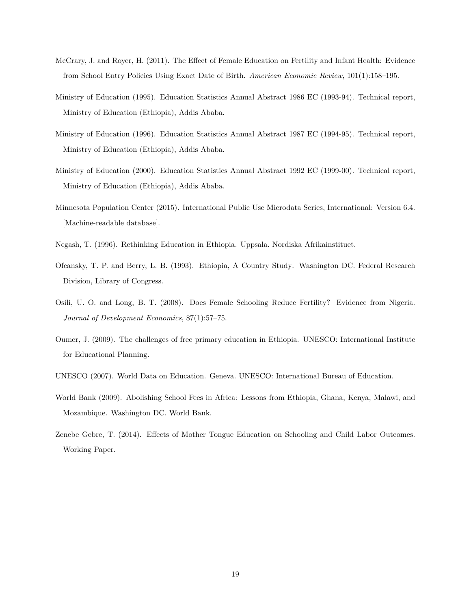- <span id="page-20-0"></span>McCrary, J. and Royer, H. (2011). The Effect of Female Education on Fertility and Infant Health: Evidence from School Entry Policies Using Exact Date of Birth. *American Economic Review*, 101(1):158–195.
- <span id="page-20-8"></span>Ministry of Education (1995). Education Statistics Annual Abstract 1986 EC (1993-94). Technical report, Ministry of Education (Ethiopia), Addis Ababa.
- <span id="page-20-9"></span>Ministry of Education (1996). Education Statistics Annual Abstract 1987 EC (1994-95). Technical report, Ministry of Education (Ethiopia), Addis Ababa.
- <span id="page-20-10"></span>Ministry of Education (2000). Education Statistics Annual Abstract 1992 EC (1999-00). Technical report, Ministry of Education (Ethiopia), Addis Ababa.
- <span id="page-20-11"></span>Minnesota Population Center (2015). International Public Use Microdata Series, International: Version 6.4. [Machine-readable database].
- <span id="page-20-5"></span>Negash, T. (1996). Rethinking Education in Ethiopia. Uppsala. Nordiska Afrikainstituet.
- <span id="page-20-2"></span>Ofcansky, T. P. and Berry, L. B. (1993). Ethiopia, A Country Study. Washington DC. Federal Research Division, Library of Congress.
- <span id="page-20-1"></span>Osili, U. O. and Long, B. T. (2008). Does Female Schooling Reduce Fertility? Evidence from Nigeria. *Journal of Development Economics*, 87(1):57–75.
- <span id="page-20-4"></span>Oumer, J. (2009). The challenges of free primary education in Ethiopia. UNESCO: International Institute for Educational Planning.
- <span id="page-20-6"></span>UNESCO (2007). World Data on Education. Geneva. UNESCO: International Bureau of Education.
- <span id="page-20-3"></span>World Bank (2009). Abolishing School Fees in Africa: Lessons from Ethiopia, Ghana, Kenya, Malawi, and Mozambique. Washington DC. World Bank.
- <span id="page-20-7"></span>Zenebe Gebre, T. (2014). Effects of Mother Tongue Education on Schooling and Child Labor Outcomes. Working Paper.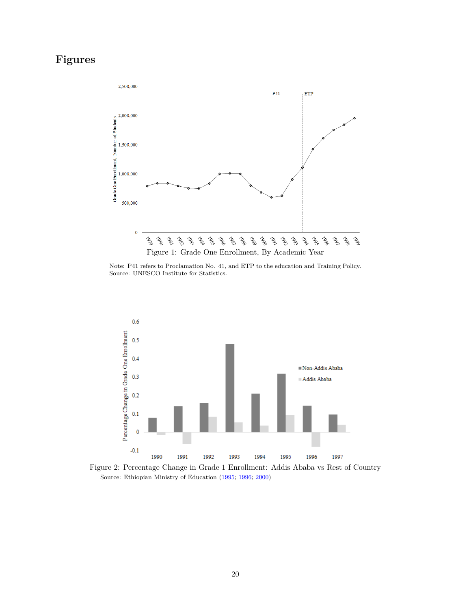## <span id="page-21-0"></span>**Figures**



Note: P41 refers to Proclamation No. 41, and ETP to the education and Training Policy. Source: UNESCO Institute for Statistics.

<span id="page-21-1"></span>

Figure 2: Percentage Change in Grade 1 Enrollment: Addis Ababa vs Rest of Country Source: Ethiopian Ministry of Education [\(1995;](#page-20-8) [1996;](#page-20-9) [2000\)](#page-20-10)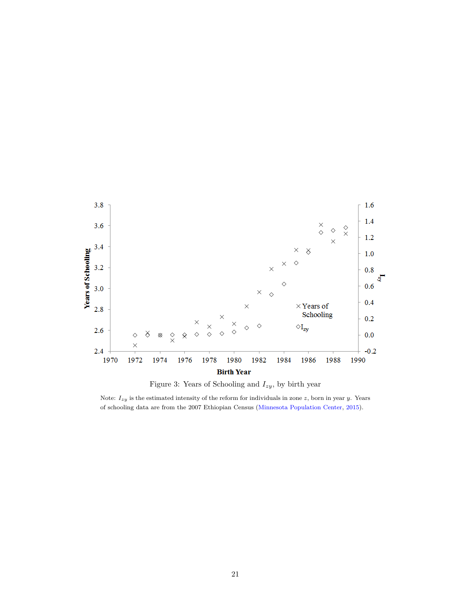<span id="page-22-0"></span>



Note: *Izy* is the estimated intensity of the reform for individuals in zone *z*, born in year *y*. Years of schooling data are from the 2007 Ethiopian Census [\(Minnesota Population Center,](#page-20-11) [2015\)](#page-20-11).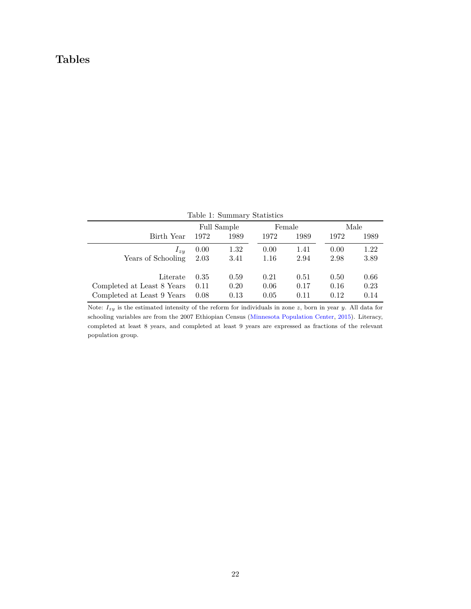### **Tables**

<span id="page-23-0"></span>

|                            |      | Table 1: Summary Statistics |      |        |      |      |
|----------------------------|------|-----------------------------|------|--------|------|------|
|                            |      | Full Sample                 |      | Female |      | Male |
| Birth Year                 | 1972 | 1989                        | 1972 | 1989   | 1972 | 1989 |
| $I_{zu}$                   | 0.00 | 1.32                        | 0.00 | 1.41   | 0.00 | 1.22 |
| Years of Schooling         | 2.03 | 3.41                        | 1.16 | 2.94   | 2.98 | 3.89 |
| Literate                   | 0.35 | 0.59                        | 0.21 | 0.51   | 0.50 | 0.66 |
|                            |      |                             |      |        |      |      |
| Completed at Least 8 Years | 0.11 | 0.20                        | 0.06 | 0.17   | 0.16 | 0.23 |
| Completed at Least 9 Years | 0.08 | 0.13                        | 0.05 | 0.11   | 0.12 | 0.14 |

Note: *Izy* is the estimated intensity of the reform for individuals in zone *z*, born in year *y*. All data for schooling variables are from the 2007 Ethiopian Census [\(Minnesota Population Center,](#page-20-11) [2015\)](#page-20-11). Literacy, completed at least 8 years, and completed at least 9 years are expressed as fractions of the relevant population group.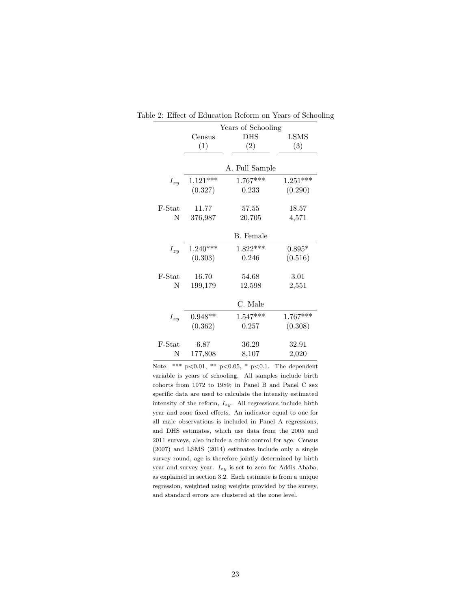|          |            | Years of Schooling |            |
|----------|------------|--------------------|------------|
|          | Census     | <b>DHS</b>         | LSMS       |
|          | (1)        | (2)                | (3)        |
|          |            |                    |            |
|          |            | A. Full Sample     |            |
| $I_{zy}$ | $1.121***$ | $1.767***$         | $1.251***$ |
|          | (0.327)    | 0.233              | (0.290)    |
| F-Stat   | 11.77      | 57.55              | 18.57      |
| N        | 376,987    | 20,705             | 4,571      |
|          |            | B. Female          |            |
| $I_{zy}$ | $1.240***$ | $1.822***$         | $0.895*$   |
|          | (0.303)    | 0.246              | (0.516)    |
| F-Stat   | 16.70      | 54.68              | 3.01       |
| N        | 199,179    | 12,598             | 2,551      |
|          |            | C. Male            |            |
| $I_{zy}$ | $0.948**$  | $1.547***$         | $1.767***$ |
|          | (0.362)    | 0.257              | (0.308)    |
| F-Stat   | 6.87       | 36.29              | 32.91      |
| N        | 177,808    | 8,107              | 2,020      |

<span id="page-24-0"></span>Table 2: Effect of Education Reform on Years of Schooling

Note: \*\*\*  $p<0.01$ , \*\*  $p<0.05$ , \*  $p<0.1$ . The dependent variable is years of schooling. All samples include birth cohorts from 1972 to 1989; in Panel B and Panel C sex specific data are used to calculate the intensity estimated intensity of the reform,  $I_{zy}$ . All regressions include birth year and zone fixed effects. An indicator equal to one for all male observations is included in Panel A regressions, and DHS estimates, which use data from the 2005 and 2011 surveys, also include a cubic control for age. Census (2007) and LSMS (2014) estimates include only a single survey round, age is therefore jointly determined by birth year and survey year. *Izy* is set to zero for Addis Ababa, as explained in section [3.2.](#page-9-2) Each estimate is from a unique regression, weighted using weights provided by the survey, and standard errors are clustered at the zone level.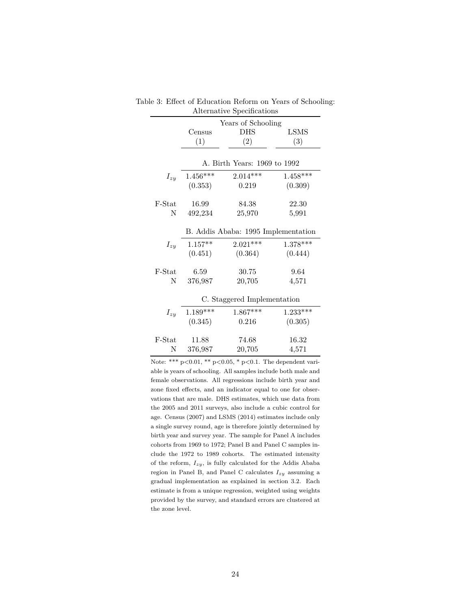|          |            | Years of Schooling                  |             |
|----------|------------|-------------------------------------|-------------|
|          | Census     | <b>DHS</b>                          | <b>LSMS</b> |
|          | (1)        | (2)                                 | (3)         |
|          |            |                                     |             |
|          |            | A. Birth Years: 1969 to 1992        |             |
| $I_{zy}$ | $1.456***$ | $2.014***$                          | $1.458***$  |
|          | (0.353)    | 0.219                               | (0.309)     |
|          |            |                                     |             |
| F-Stat   | 16.99      | 84.38                               | 22.30       |
| N        | 492,234    | 25,970                              | 5,991       |
|          |            | B. Addis Ababa: 1995 Implementation |             |
| $I_{zy}$ | $1.157**$  | $2.021***$                          | $1.378***$  |
|          | (0.451)    | (0.364)                             | (0.444)     |
|          |            |                                     |             |
| F-Stat   | 6.59       | 30.75                               | 9.64        |
| N        | 376,987    | 20,705                              | 4,571       |
|          |            | C. Staggered Implementation         |             |
| $I_{zy}$ | $1.189***$ | $1.867***$                          | $1.233***$  |
|          | (0.345)    | 0.216                               | (0.305)     |
|          |            |                                     |             |
| F-Stat   | 11.88      | 74.68                               | 16.32       |
| N        | 376,987    | 20,705                              | 4,571       |

<span id="page-25-0"></span>Table 3: Effect of Education Reform on Years of Schooling: Alternative Specifications

Note: \*\*\*  $p<0.01$ , \*\*  $p<0.05$ , \*  $p<0.1$ . The dependent variable is years of schooling. All samples include both male and female observations. All regressions include birth year and zone fixed effects, and an indicator equal to one for observations that are male. DHS estimates, which use data from the 2005 and 2011 surveys, also include a cubic control for age. Census (2007) and LSMS (2014) estimates include only a single survey round, age is therefore jointly determined by birth year and survey year. The sample for Panel A includes cohorts from 1969 to 1972; Panel B and Panel C samples include the 1972 to 1989 cohorts. The estimated intensity of the reform, *Izy*, is fully calculated for the Addis Ababa region in Panel B, and Panel C calculates *Izy* assuming a gradual implementation as explained in section [3.2.](#page-9-2) Each estimate is from a unique regression, weighted using weights provided by the survey, and standard errors are clustered at the zone level.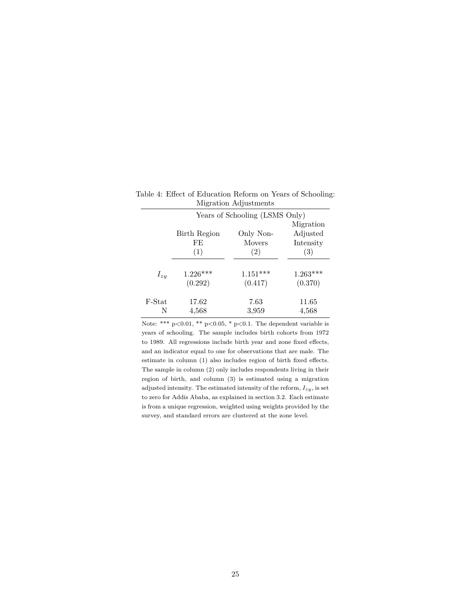|              |               | Migration                                       |
|--------------|---------------|-------------------------------------------------|
| Birth Region | Only Non-     | Adjusted                                        |
| FE           | <b>Movers</b> | Intensity                                       |
| (1)          | (2)           | (3)                                             |
|              |               |                                                 |
| $1.226***$   | $1.151***$    | $1.263***$                                      |
| (0.292)      | (0.417)       | (0.370)                                         |
| 17.62        | 7.63          | 11.65                                           |
| 4,568        | 3,959         | 4,568                                           |
|              |               | $\frac{1}{2}$<br>Years of Schooling (LSMS Only) |

<span id="page-26-0"></span>Table 4: Effect of Education Reform on Years of Schooling: Migration Adjustments  $\overline{\phantom{0}}$ 

Note: \*\*\*  $p<0.01$ , \*\*  $p<0.05$ , \*  $p<0.1$ . The dependent variable is years of schooling. The sample includes birth cohorts from 1972 to 1989. All regressions include birth year and zone fixed effects, and an indicator equal to one for observations that are male. The estimate in column (1) also includes region of birth fixed effects. The sample in column (2) only includes respondents living in their region of birth, and column (3) is estimated using a migration adjusted intensity. The estimated intensity of the reform, *Izy*, is set to zero for Addis Ababa, as explained in section [3.2.](#page-9-2) Each estimate is from a unique regression, weighted using weights provided by the survey, and standard errors are clustered at the zone level.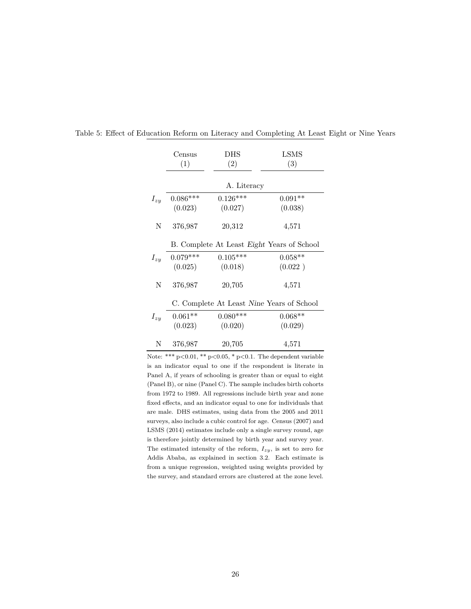|          | Census     | DHS         | LSMS                                       |
|----------|------------|-------------|--------------------------------------------|
|          | (1)        | (2)         | (3)                                        |
|          |            |             |                                            |
|          |            | A. Literacy |                                            |
| $I_{zy}$ | $0.086***$ | $0.126***$  | $0.091**$                                  |
|          | (0.023)    | (0.027)     | (0.038)                                    |
| N        | 376,987    | 20,312      | 4,571                                      |
|          |            |             | B. Complete At Least Eight Years of School |
| $I_{zy}$ | $0.079***$ | $0.105***$  | $0.058**$                                  |
|          | (0.025)    | (0.018)     | (0.022)                                    |
| N        | 376,987    | 20,705      | 4,571                                      |
|          |            |             | C. Complete At Least Nine Years of School  |
| $I_{zy}$ | $0.061**$  | $0.080***$  | $0.068**$                                  |
|          | (0.023)    | (0.020)     | (0.029)                                    |
| Ν        | 376,987    | 20,705      | 4,571                                      |

<span id="page-27-0"></span>

|  |  |  | Table 5: Effect of Education Reform on Literacy and Completing At Least Eight or Nine Years |  |  |  |
|--|--|--|---------------------------------------------------------------------------------------------|--|--|--|
|  |  |  |                                                                                             |  |  |  |

Note: \*\*\*  $p < 0.01$ , \*\*  $p < 0.05$ , \*  $p < 0.1$ . The dependent variable is an indicator equal to one if the respondent is literate in Panel A, if years of schooling is greater than or equal to eight (Panel B), or nine (Panel C). The sample includes birth cohorts from 1972 to 1989. All regressions include birth year and zone fixed effects, and an indicator equal to one for individuals that are male. DHS estimates, using data from the 2005 and 2011 surveys, also include a cubic control for age. Census (2007) and LSMS (2014) estimates include only a single survey round, age is therefore jointly determined by birth year and survey year. The estimated intensity of the reform, *Izy*, is set to zero for Addis Ababa, as explained in section [3.2.](#page-9-2) Each estimate is from a unique regression, weighted using weights provided by the survey, and standard errors are clustered at the zone level.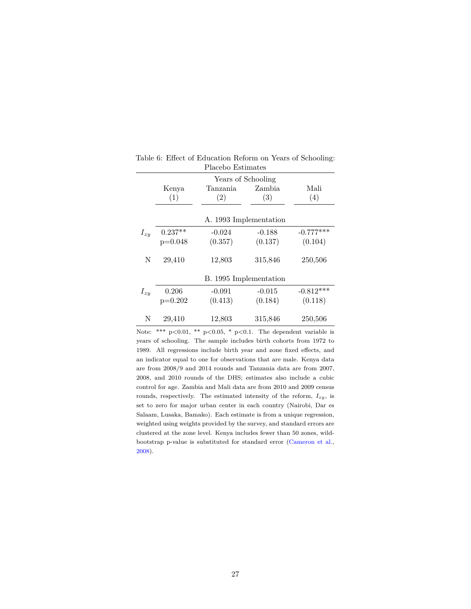|          | Kenya<br>(1) | Years of Schooling<br>Tanzania<br>(2) | Zambia<br>(3) | Mali<br>(4) |
|----------|--------------|---------------------------------------|---------------|-------------|
|          |              | A. 1993 Implementation                |               |             |
| $I_{zy}$ | $0.237**$    | $-0.024$                              | $-0.188$      | $-0.777***$ |
|          | $p=0.048$    | (0.357)                               | (0.137)       | (0.104)     |
| N        | 29,410       | 12,803                                | 315,846       | 250,506     |
|          |              | B. 1995 Implementation                |               |             |
| $I_{zy}$ | 0.206        | $-0.091$                              | $-0.015$      | $-0.812***$ |
|          | $p=0.202$    | (0.413)                               | (0.184)       | (0.118)     |
| N        | 29,410       | 12,803                                | 315,846       | 250,506     |

<span id="page-28-0"></span>Table 6: Effect of Education Reform on Years of Schooling: Placebo Estimates  $\overline{\phantom{a}}$ 

Note: \*\*\*  $p<0.01$ , \*\*  $p<0.05$ , \*  $p<0.1$ . The dependent variable is years of schooling. The sample includes birth cohorts from 1972 to 1989. All regressions include birth year and zone fixed effects, and an indicator equal to one for observations that are male. Kenya data are from 2008/9 and 2014 rounds and Tanzania data are from 2007, 2008, and 2010 rounds of the DHS; estimates also include a cubic control for age. Zambia and Mali data are from 2010 and 2009 census rounds, respectively. The estimated intensity of the reform,  $I_{zy}$ , is set to zero for major urban center in each country (Nairobi, Dar es Salaam, Lusaka, Bamako). Each estimate is from a unique regression, weighted using weights provided by the survey, and standard errors are clustered at the zone level. Kenya includes fewer than 50 zones, wildbootstrap p-value is substituted for standard error [\(Cameron et al.,](#page-19-13) [2008\)](#page-19-13).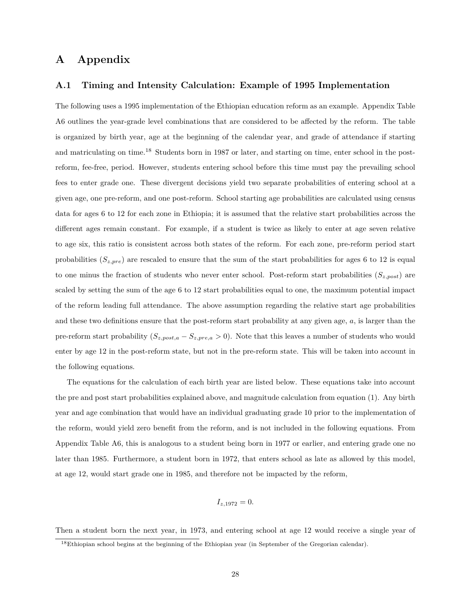#### **A Appendix**

#### **A.1 Timing and Intensity Calculation: Example of 1995 Implementation**

The following uses a 1995 implementation of the Ethiopian education reform as an example. Appendix Table [A6](#page-36-0) outlines the year-grade level combinations that are considered to be affected by the reform. The table is organized by birth year, age at the beginning of the calendar year, and grade of attendance if starting and matriculating on time.<sup>[18](#page-29-0)</sup> Students born in 1987 or later, and starting on time, enter school in the postreform, fee-free, period. However, students entering school before this time must pay the prevailing school fees to enter grade one. These divergent decisions yield two separate probabilities of entering school at a given age, one pre-reform, and one post-reform. School starting age probabilities are calculated using census data for ages 6 to 12 for each zone in Ethiopia; it is assumed that the relative start probabilities across the different ages remain constant. For example, if a student is twice as likely to enter at age seven relative to age six, this ratio is consistent across both states of the reform. For each zone, pre-reform period start probabilities  $(S_{z,pre})$  are rescaled to ensure that the sum of the start probabilities for ages 6 to 12 is equal to one minus the fraction of students who never enter school. Post-reform start probabilities (*Sz,post*) are scaled by setting the sum of the age 6 to 12 start probabilities equal to one, the maximum potential impact of the reform leading full attendance. The above assumption regarding the relative start age probabilities and these two definitions ensure that the post-reform start probability at any given age, *a*, is larger than the pre-reform start probability (*Sz,post,a* − *Sz,pre,a >* 0). Note that this leaves a number of students who would enter by age 12 in the post-reform state, but not in the pre-reform state. This will be taken into account in the following equations.

The equations for the calculation of each birth year are listed below. These equations take into account the pre and post start probabilities explained above, and magnitude calculation from equation [\(1\)](#page-8-0). Any birth year and age combination that would have an individual graduating grade 10 prior to the implementation of the reform, would yield zero benefit from the reform, and is not included in the following equations. From Appendix Table [A6,](#page-36-0) this is analogous to a student being born in 1977 or earlier, and entering grade one no later than 1985. Furthermore, a student born in 1972, that enters school as late as allowed by this model, at age 12, would start grade one in 1985, and therefore not be impacted by the reform,

$$
I_{z,1972} = 0.
$$

Then a student born the next year, in 1973, and entering school at age 12 would receive a single year of

<span id="page-29-0"></span><sup>18</sup>Ethiopian school begins at the beginning of the Ethiopian year (in September of the Gregorian calendar).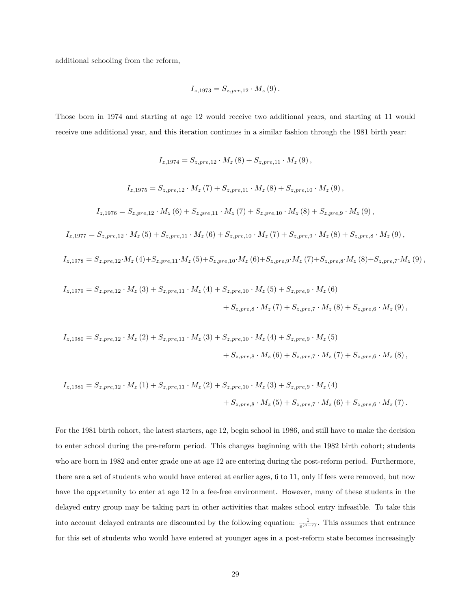additional schooling from the reform,

$$
I_{z,1973} = S_{z,pre,12} \cdot M_z(9).
$$

Those born in 1974 and starting at age 12 would receive two additional years, and starting at 11 would receive one additional year, and this iteration continues in a similar fashion through the 1981 birth year:

$$
I_{z,1974} = S_{z,pre,12} \cdot M_z(8) + S_{z,pre,11} \cdot M_z(9),
$$

$$
I_{z,1975} = S_{z,pre,12} \cdot M_z (7) + S_{z,pre,11} \cdot M_z (8) + S_{z,pre,10} \cdot M_z (9) ,
$$

$$
I_{z,1976} = S_{z,pre,12} \cdot M_z(6) + S_{z,pre,11} \cdot M_z(7) + S_{z,pre,10} \cdot M_z(8) + S_{z,pre,9} \cdot M_z(9),
$$

$$
I_{z,1977} = S_{z,pre,12} \cdot M_z(5) + S_{z,pre,11} \cdot M_z(6) + S_{z,pre,10} \cdot M_z(7) + S_{z,pre,9} \cdot M_z(8) + S_{z,pre,8} \cdot M_z(9),
$$

$$
I_{z,1978} = S_{z,pre,12} \cdot M_{z} \left(4\right) + S_{z,pre,11} \cdot M_{z} \left(5\right) + S_{z,pre,10} \cdot M_{z} \left(6\right) + S_{z,pre,9} \cdot M_{z} \left(7\right) + S_{z,pre,8} \cdot M_{z} \left(8\right) + S_{z,pre,7} \cdot M_{z} \left(9\right),
$$

$$
I_{z,1979} = S_{z,pre,12} \cdot M_z(3) + S_{z,pre,11} \cdot M_z(4) + S_{z,pre,10} \cdot M_z(5) + S_{z,pre,9} \cdot M_z(6) + S_{z,pre,8} \cdot M_z(7) + S_{z,pre,7} \cdot M_z(8) + S_{z,pre,6} \cdot M_z(9),
$$

$$
I_{z,1980} = S_{z,pre,12} \cdot M_z(2) + S_{z,pre,11} \cdot M_z(3) + S_{z,pre,10} \cdot M_z(4) + S_{z,pre,9} \cdot M_z(5) + S_{z,pre,8} \cdot M_z(6) + S_{z,pre,7} \cdot M_z(7) + S_{z,pre,6} \cdot M_z(8),
$$

$$
I_{z,1981} = S_{z,pre,12} \cdot M_z(1) + S_{z,pre,11} \cdot M_z(2) + S_{z,pre,10} \cdot M_z(3) + S_{z,pre,9} \cdot M_z(4) + S_{z,pre,8} \cdot M_z(5) + S_{z,pre,7} \cdot M_z(6) + S_{z,pre,6} \cdot M_z(7).
$$

For the 1981 birth cohort, the latest starters, age 12, begin school in 1986, and still have to make the decision to enter school during the pre-reform period. This changes beginning with the 1982 birth cohort; students who are born in 1982 and enter grade one at age 12 are entering during the post-reform period. Furthermore, there are a set of students who would have entered at earlier ages, 6 to 11, only if fees were removed, but now have the opportunity to enter at age 12 in a fee-free environment. However, many of these students in the delayed entry group may be taking part in other activities that makes school entry infeasible. To take this into account delayed entrants are discounted by the following equation:  $\frac{1}{e^{(a-\tau)}}$ . This assumes that entrance for this set of students who would have entered at younger ages in a post-reform state becomes increasingly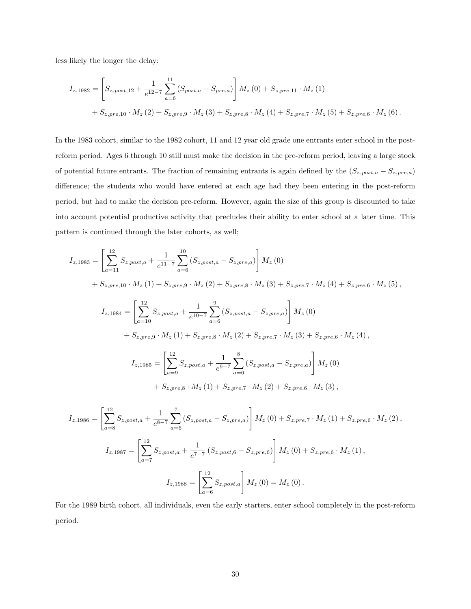less likely the longer the delay:

$$
I_{z,1982} = \left[ S_{z,post,12} + \frac{1}{e^{12-7}} \sum_{a=6}^{11} (S_{post,a} - S_{pre,a}) \right] M_z (0) + S_{z,pre,11} \cdot M_z (1)
$$
  
+  $S_{z,pre,10} \cdot M_z (2) + S_{z,pre,9} \cdot M_z (3) + S_{z,pre,8} \cdot M_z (4) + S_{z,pre,7} \cdot M_z (5) + S_{z,pre,6} \cdot M_z (6).$ 

In the 1983 cohort, similar to the 1982 cohort, 11 and 12 year old grade one entrants enter school in the postreform period. Ages 6 through 10 still must make the decision in the pre-reform period, leaving a large stock of potential future entrants. The fraction of remaining entrants is again defined by the  $(S_{z,post,a} - S_{z,pre,a})$ difference; the students who would have entered at each age had they been entering in the post-reform period, but had to make the decision pre-reform. However, again the size of this group is discounted to take into account potential productive activity that precludes their ability to enter school at a later time. This pattern is continued through the later cohorts, as well;

$$
I_{z,1983} = \left[ \sum_{a=11}^{12} S_{z,post,a} + \frac{1}{e^{11-7}} \sum_{a=6}^{10} (S_{z,post,a} - S_{z,pre,a}) \right] M_z (0)
$$
  
+  $S_{z,pre,10} \cdot M_z (1) + S_{z,pre,9} \cdot M_z (2) + S_{z,pre,8} \cdot M_z (3) + S_{z,pre,7} \cdot M_z (4) + S_{z,pre,6} \cdot M_z (5),$   

$$
I_{z,1984} = \left[ \sum_{a=10}^{12} S_{z,post,a} + \frac{1}{e^{10-7}} \sum_{a=6}^{9} (S_{z,post,a} - S_{z,pre,a}) \right] M_z (0)
$$
  
+  $S_{z,pre,9} \cdot M_z (1) + S_{z,pre,8} \cdot M_z (2) + S_{z,pre,7} \cdot M_z (3) + S_{z,pre,6} \cdot M_z (4),$   

$$
I_{z,1985} = \left[ \sum_{a=9}^{12} S_{z,post,a} + \frac{1}{e^{9-7}} \sum_{a=6}^{8} (S_{z,post,a} - S_{z,pre,a}) \right] M_z (0)
$$
  
+  $S_{z,pre,8} \cdot M_z (1) + S_{z,pre,7} \cdot M_z (2) + S_{z,pre,6} \cdot M_z (3),$   

$$
I_{z,1986} = \left[ \sum_{a=8}^{12} S_{z,post,a} + \frac{1}{e^{8-7}} \sum_{a=6}^{7} (S_{z,post,a} - S_{z,pre,a}) \right] M_z (0) + S_{z,pre,7} \cdot M_z (1) + S_{z,pre,6} \cdot M_z (2),
$$
  

$$
\left[ \sum_{a=8}^{12} S_{z,post,a} + \frac{1}{e^{8-7}} \sum_{a=6}^{7} (S_{z,post,a} - S_{z,pre,a}) \right] M_z (0) + S_{z,pre,7} \cdot M_z (1) + S_{z,pre,6} \cdot M_z (2),
$$

$$
I_{z,1987} = \left[ \sum_{a=7}^{12} S_{z,post,a} + \frac{1}{e^{7-7}} \left( S_{z,post,6} - S_{z,pre,6} \right) \right] M_z (0) + S_{z,pre,6} \cdot M_z (1) ,
$$
  

$$
I_{z,1988} = \left[ \sum_{a=6}^{12} S_{z,post,a} \right] M_z (0) = M_z (0) .
$$

For the 1989 birth cohort, all individuals, even the early starters, enter school completely in the post-reform period.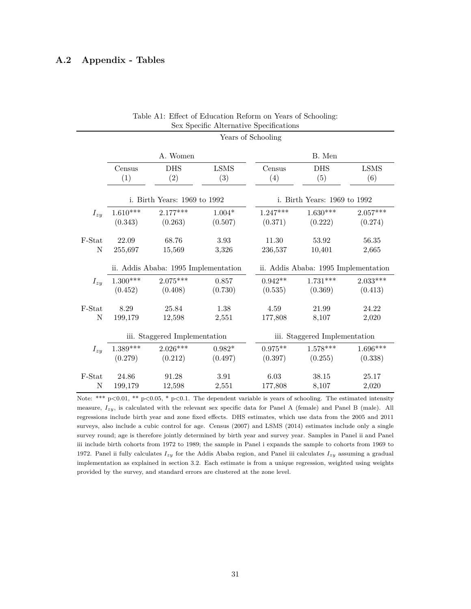#### **A.2 Appendix - Tables**

|          |                 |                                      |                    | Years of Schooling |                                      |                    |
|----------|-----------------|--------------------------------------|--------------------|--------------------|--------------------------------------|--------------------|
|          |                 | A. Women                             |                    |                    | B. Men                               |                    |
|          | Census<br>(1)   | <b>DHS</b><br>(2)                    | <b>LSMS</b><br>(3) | Census<br>(4)      | <b>DHS</b><br>(5)                    | <b>LSMS</b><br>(6) |
|          |                 | i. Birth Years: 1969 to 1992         |                    |                    | i. Birth Years: 1969 to 1992         |                    |
| $I_{zy}$ | $1.610***$      | $2.177***$                           | $1.004*$           | $1.247***$         | $1.630***$                           | $2.057***$         |
|          | (0.343)         | (0.263)                              | (0.507)            | (0.371)            | (0.222)                              | (0.274)            |
| F-Stat   | 22.09           | 68.76                                | 3.93               | 11.30              | 53.92                                | 56.35              |
| Ν        | 255,697         | 15,569                               | 3,326              | 236,537            | 10,401                               | 2,665              |
|          |                 | ii. Addis Ababa: 1995 Implementation |                    |                    | ii. Addis Ababa: 1995 Implementation |                    |
| $I_{zy}$ | $1.300***$      | $2.075***$                           | 0.857              | $0.942**$          | $1.731***$                           | $2.033***$         |
|          | (0.452)         | (0.408)                              | (0.730)            | (0.535)            | (0.369)                              | (0.413)            |
| F-Stat   | 8.29            | 25.84                                | 1.38               | 4.59               | 21.99                                | 24.22              |
| Ν        | 199,179         | 12,598                               | 2,551              | 177,808            | 8,107                                | 2,020              |
|          |                 | iii. Staggered Implementation        |                    |                    | iii. Staggered Implementation        |                    |
| $I_{zy}$ | $1.389^{***}\,$ | $2.026***$                           | $0.982*$           | $0.975**$          | $1.578***$                           | $1.696***$         |
|          | (0.279)         | (0.212)                              | (0.497)            | (0.397)            | (0.255)                              | (0.338)            |
| F-Stat   | 24.86           | 91.28                                | 3.91               | 6.03               | 38.15                                | 25.17              |
| Ν        | 199,179         | 12,598                               | 2,551              | 177,808            | 8,107                                | 2,020              |

| Table A1: Effect of Education Reform on Years of Schooling: |  |  |  |
|-------------------------------------------------------------|--|--|--|
| Sex Specific Alternative Specifications                     |  |  |  |

Note: \*\*\* p<0.01, \*\* p<0.05, \* p<0.1. The dependent variable is years of schooling. The estimated intensity measure, *Izy*, is calculated with the relevant sex specific data for Panel A (female) and Panel B (male). All regressions include birth year and zone fixed effects. DHS estimates, which use data from the 2005 and 2011 surveys, also include a cubic control for age. Census (2007) and LSMS (2014) estimates include only a single survey round; age is therefore jointly determined by birth year and survey year. Samples in Panel ii and Panel iii include birth cohorts from 1972 to 1989; the sample in Panel i expands the sample to cohorts from 1969 to 1972. Panel ii fully calculates *Izy* for the Addis Ababa region, and Panel iii calculates *Izy* assuming a gradual implementation as explained in section [3.2.](#page-9-2) Each estimate is from a unique regression, weighted using weights provided by the survey, and standard errors are clustered at the zone level.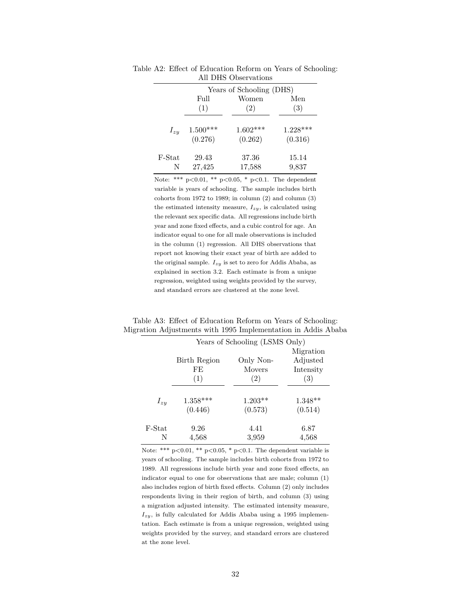|          |            | Years of Schooling (DHS) |            |
|----------|------------|--------------------------|------------|
|          | Full       | Women                    | Men        |
|          | (1)        | (2)                      | (3)        |
|          |            |                          |            |
| $I_{zy}$ | $1.500***$ | $1.602***$               | $1.228***$ |
|          | (0.276)    | (0.262)                  | (0.316)    |
| F-Stat   | 29.43      | 37.36                    | 15.14      |
| N        | 27,425     | 17,588                   | 9,837      |

<span id="page-33-0"></span>Table A2: Effect of Education Reform on Years of Schooling: All DHS Observations

Note: \*\*\*  $p<0.01$ , \*\*  $p<0.05$ , \*  $p<0.1$ . The dependent variable is years of schooling. The sample includes birth cohorts from 1972 to 1989; in column (2) and column (3) the estimated intensity measure, *Izy*, is calculated using the relevant sex specific data. All regressions include birth year and zone fixed effects, and a cubic control for age. An indicator equal to one for all male observations is included in the column (1) regression. All DHS observations that report not knowing their exact year of birth are added to the original sample. *Izy* is set to zero for Addis Ababa, as explained in section [3.2.](#page-9-2) Each estimate is from a unique regression, weighted using weights provided by the survey, and standard errors are clustered at the zone level.

Table A3: Effect of Education Reform on Years of Schooling: Migration Adjustments with 1995 Implementation in Addis Ababa

|          |              | Years of Schooling (LSMS Only) |           |
|----------|--------------|--------------------------------|-----------|
|          |              |                                | Migration |
|          | Birth Region | Only Non-                      | Adjusted  |
|          | FE           | <b>Movers</b>                  | Intensity |
|          | (1)          | (2)                            | (3)       |
| $I_{zy}$ | $1.358***$   | $1.203**$                      | $1.348**$ |
|          | (0.446)      | (0.573)                        | (0.514)   |
| F-Stat   | 9.26         | 4.41                           | 6.87      |
| N        | 4,568        | 3,959                          | 4,568     |

Note: \*\*\*  $p < 0.01$ , \*\*  $p < 0.05$ , \*  $p < 0.1$ . The dependent variable is years of schooling. The sample includes birth cohorts from 1972 to 1989. All regressions include birth year and zone fixed effects, an indicator equal to one for observations that are male; column (1) also includes region of birth fixed effects. Column (2) only includes respondents living in their region of birth, and column (3) using a migration adjusted intensity. The estimated intensity measure,  $I_{zy}$ , is fully calculated for Addis Ababa using a 1995 implementation. Each estimate is from a unique regression, weighted using weights provided by the survey, and standard errors are clustered at the zone level.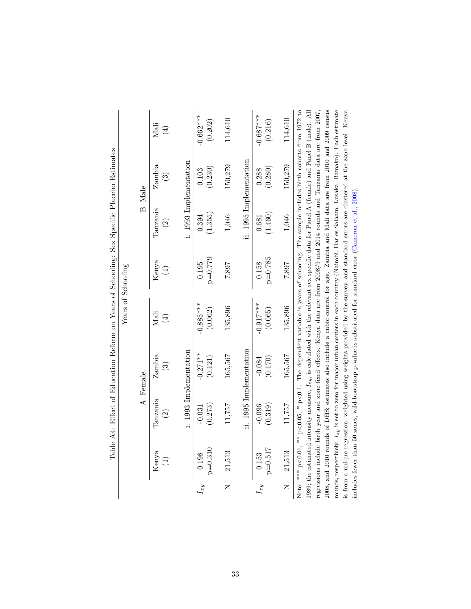|                         |                    |                                |                                  |                                                                                                                |                    |                                | Table A4: Effect of Education Reform on Years of Schooling: Sex Specific Placebo Estimates                                                                                                                                                                                                                                                                                                                                                                                                                                                                                |                        |
|-------------------------|--------------------|--------------------------------|----------------------------------|----------------------------------------------------------------------------------------------------------------|--------------------|--------------------------------|---------------------------------------------------------------------------------------------------------------------------------------------------------------------------------------------------------------------------------------------------------------------------------------------------------------------------------------------------------------------------------------------------------------------------------------------------------------------------------------------------------------------------------------------------------------------------|------------------------|
|                         |                    |                                |                                  |                                                                                                                | Years of Schooling |                                |                                                                                                                                                                                                                                                                                                                                                                                                                                                                                                                                                                           |                        |
|                         |                    |                                | A. Female                        |                                                                                                                |                    |                                | B. Male                                                                                                                                                                                                                                                                                                                                                                                                                                                                                                                                                                   |                        |
|                         | Kenya              | Tanzania<br>$\widehat{\infty}$ | Zambia<br>$\widehat{\mathbb{G}}$ | Mali<br>$\bigoplus$                                                                                            | Kenya<br>F         | Tanzania<br>$\widehat{\infty}$ | Zambia<br>$\widehat{\mathbb{C}}$                                                                                                                                                                                                                                                                                                                                                                                                                                                                                                                                          | Mali<br>$(\pm)$        |
|                         |                    |                                | i. 1993 Implementation           |                                                                                                                |                    |                                | i. 1993 Implementation                                                                                                                                                                                                                                                                                                                                                                                                                                                                                                                                                    |                        |
| $I_{zy}$                | $p=0.310$<br>0.198 | (0.273)<br>$-0.031$            | $-0.271**$<br>(0.121)            | $-0.885***$<br>(0.062)                                                                                         | $p=0.779$<br>0.195 | (1.355)<br>0.394               | (0.230)<br>0.103                                                                                                                                                                                                                                                                                                                                                                                                                                                                                                                                                          | $-0.662***$<br>(0.202) |
| $\overline{\mathsf{K}}$ | 21,513             | 11,757                         | 165,567                          | 135,896                                                                                                        | 7,887              | 1,046                          | 150,279                                                                                                                                                                                                                                                                                                                                                                                                                                                                                                                                                                   | 114,610                |
|                         |                    |                                | ii. 1995 Implementation          |                                                                                                                |                    |                                | ii. 1995 Implementation                                                                                                                                                                                                                                                                                                                                                                                                                                                                                                                                                   |                        |
| $I_{zy}$                | $p=0.517$<br>0.153 | (0.319)<br>$-0.096$            | (0.170)<br>$-0.084$              | $-0.917***$<br>(0.065)                                                                                         | $p=0.785$<br>0.158 | (1.460)<br>0.681               | (0.280)<br>0.288                                                                                                                                                                                                                                                                                                                                                                                                                                                                                                                                                          | $-0.687***$<br>(0.216) |
| $\overline{z}$          | 21,513             | 11,757                         | 165,567                          | 135,896                                                                                                        | 7,887              | 1,046                          | 150,279                                                                                                                                                                                                                                                                                                                                                                                                                                                                                                                                                                   | 114,610                |
|                         |                    |                                |                                  |                                                                                                                |                    |                                | Note: *** $p<0.01$ , ** $p<0.05$ , * $p<0.1$ . The dependent variable is years of schooling. The sample includes birth cohorts from 1972 to<br>1989; the estimated intensity measure, $I_{zy}$ , is calculated with the relevant sex specific data for Panel A (female) and Panel B (male). All<br>regressions include birth year and zone fixed effects. Kenya data are from 2008/9 and 2014 rounds and Tanzania data are from 2007,<br>2008, and 2010 rounds of DHS; estimates also include a cubic control for age. Zambia and Mali data are from 2010 and 2009 census |                        |
|                         |                    |                                |                                  | includes fewer than 50 zones, wild-bootstrap p-value is substituted for standard error (Cameron et al., 2008). |                    |                                | rounds, respectively. $L_{zy}$ is set to zero for major urban centers in each country (Nairobi, Dar es Salaam, Lusaka, Bamako). Each estimate<br>is from a unique regression, weighted using weights provided by the survey, and standard errors are clustered at the zone level. Kenya                                                                                                                                                                                                                                                                                   |                        |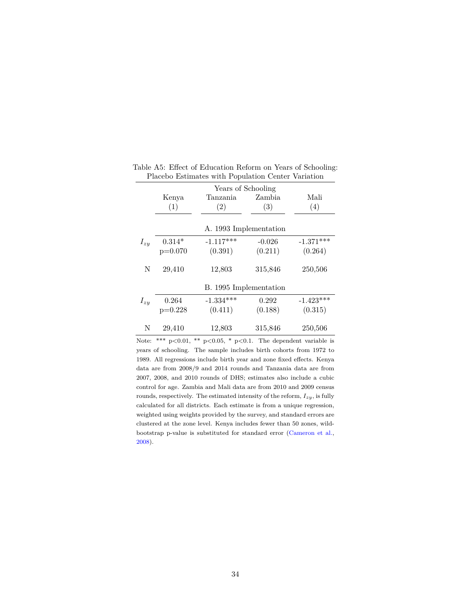|          | Kenya<br>(1) | Years of Schooling<br>Tanzania<br>(2) | Zambia<br>(3) | Mali<br>(4) |
|----------|--------------|---------------------------------------|---------------|-------------|
|          |              | A. 1993 Implementation                |               |             |
| $I_{zy}$ | $0.314*$     | $-1.117***$                           | $-0.026$      | $-1.371***$ |
|          | $p=0.070$    | (0.391)                               | (0.211)       | (0.264)     |
| N        | 29,410       | 12,803                                | 315,846       | 250,506     |
|          |              | B. 1995 Implementation                |               |             |
| $I_{zy}$ | 0.264        | $-1.334***$                           | 0.292         | $-1.423***$ |
|          | $p=0.228$    | (0.411)                               | (0.188)       | (0.315)     |
| N        | 29,410       | 12,803                                | 315,846       | 250,506     |

<span id="page-35-0"></span>Table A5: Effect of Education Reform on Years of Schooling: Placebo Estimates with Population Center Variation

Note: \*\*\*  $p<0.01$ , \*\*  $p<0.05$ , \*  $p<0.1$ . The dependent variable is years of schooling. The sample includes birth cohorts from 1972 to 1989. All regressions include birth year and zone fixed effects. Kenya data are from 2008/9 and 2014 rounds and Tanzania data are from 2007, 2008, and 2010 rounds of DHS; estimates also include a cubic control for age. Zambia and Mali data are from 2010 and 2009 census rounds, respectively. The estimated intensity of the reform, *Izy*, is fully calculated for all districts. Each estimate is from a unique regression, weighted using weights provided by the survey, and standard errors are clustered at the zone level. Kenya includes fewer than 50 zones, wildbootstrap p-value is substituted for standard error [\(Cameron et al.,](#page-19-13) [2008\)](#page-19-13).